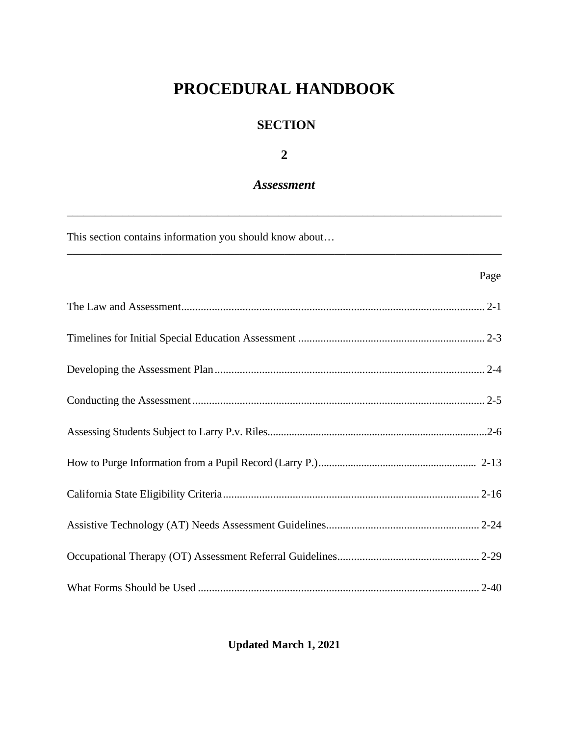# **PROCEDURAL HANDBOOK**

# **SECTION**

**2**

# *Assessment*

\_\_\_\_\_\_\_\_\_\_\_\_\_\_\_\_\_\_\_\_\_\_\_\_\_\_\_\_\_\_\_\_\_\_\_\_\_\_\_\_\_\_\_\_\_\_\_\_\_\_\_\_\_\_\_\_\_\_\_\_\_\_\_\_\_\_\_\_\_\_\_\_\_\_\_\_\_\_

\_\_\_\_\_\_\_\_\_\_\_\_\_\_\_\_\_\_\_\_\_\_\_\_\_\_\_\_\_\_\_\_\_\_\_\_\_\_\_\_\_\_\_\_\_\_\_\_\_\_\_\_\_\_\_\_\_\_\_\_\_\_\_\_\_\_\_\_\_\_\_\_\_\_\_\_\_\_

This section contains information you should know about…

| Page |
|------|
|      |
|      |
|      |
|      |
|      |
|      |
|      |
|      |
|      |
|      |

**Updated March 1, 2021**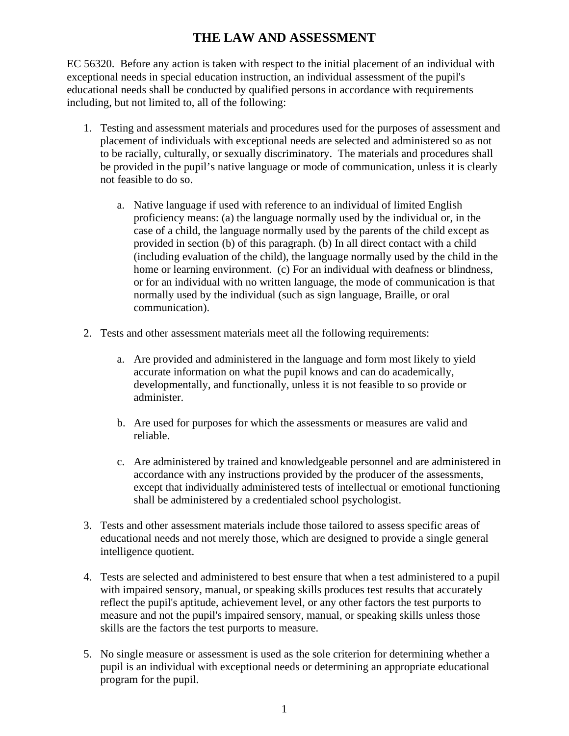# **THE LAW AND ASSESSMENT**

EC 56320. Before any action is taken with respect to the initial placement of an individual with exceptional needs in special education instruction, an individual assessment of the pupil's educational needs shall be conducted by qualified persons in accordance with requirements including, but not limited to, all of the following:

- 1. Testing and assessment materials and procedures used for the purposes of assessment and placement of individuals with exceptional needs are selected and administered so as not to be racially, culturally, or sexually discriminatory. The materials and procedures shall be provided in the pupil's native language or mode of communication, unless it is clearly not feasible to do so.
	- a. Native language if used with reference to an individual of limited English proficiency means: (a) the language normally used by the individual or, in the case of a child, the language normally used by the parents of the child except as provided in section (b) of this paragraph. (b) In all direct contact with a child (including evaluation of the child), the language normally used by the child in the home or learning environment. (c) For an individual with deafness or blindness, or for an individual with no written language, the mode of communication is that normally used by the individual (such as sign language, Braille, or oral communication).
- 2. Tests and other assessment materials meet all the following requirements:
	- a. Are provided and administered in the language and form most likely to yield accurate information on what the pupil knows and can do academically, developmentally, and functionally, unless it is not feasible to so provide or administer.
	- b. Are used for purposes for which the assessments or measures are valid and reliable.
	- c. Are administered by trained and knowledgeable personnel and are administered in accordance with any instructions provided by the producer of the assessments, except that individually administered tests of intellectual or emotional functioning shall be administered by a credentialed school psychologist.
- 3. Tests and other assessment materials include those tailored to assess specific areas of educational needs and not merely those, which are designed to provide a single general intelligence quotient.
- 4. Tests are selected and administered to best ensure that when a test administered to a pupil with impaired sensory, manual, or speaking skills produces test results that accurately reflect the pupil's aptitude, achievement level, or any other factors the test purports to measure and not the pupil's impaired sensory, manual, or speaking skills unless those skills are the factors the test purports to measure.
- 5. No single measure or assessment is used as the sole criterion for determining whether a pupil is an individual with exceptional needs or determining an appropriate educational program for the pupil.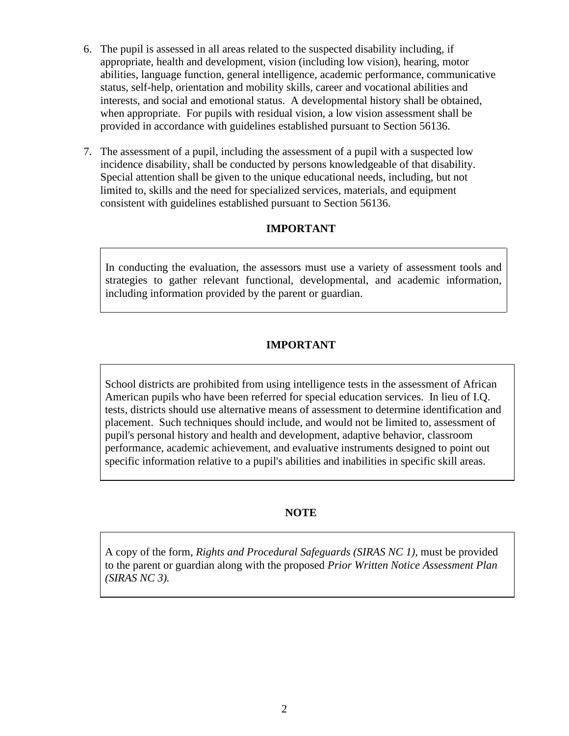- 6. The pupil is assessed in all areas related to the suspected disability including, if appropriate, health and development, vision (including low vision), hearing, motor abilities, language function, general intelligence, academic performance, communicative status, self-help, orientation and mobility skills, career and vocational abilities and interests, and social and emotional status. A developmental history shall be obtained, when appropriate. For pupils with residual vision, a low vision assessment shall be provided in accordance with guidelines established pursuant to Section 56136.
- 7. The assessment of a pupil, including the assessment of a pupil with a suspected low incidence disability, shall be conducted by persons knowledgeable of that disability. Special attention shall be given to the unique educational needs, including, but not limited to, skills and the need for specialized services, materials, and equipment consistent with guidelines established pursuant to Section 56136.

### **IMPORTANT**

In conducting the evaluation, the assessors must use a variety of assessment tools and strategies to gather relevant functional, developmental, and academic information, including information provided by the parent or guardian.

#### **IMPORTANT**

School districts are prohibited from using intelligence tests in the assessment of African American pupils who have been referred for special education services. In lieu of I.Q. tests, districts should use alternative means of assessment to determine identification and placement. Such techniques should include, and would not be limited to, assessment of pupil's personal history and health and development, adaptive behavior, classroom performance, academic achievement, and evaluative instruments designed to point out specific information relative to a pupil's abilities and inabilities in specific skill areas.

#### **NOTE**

A copy of the form, *Rights and Procedural Safeguards (SIRAS NC 1),* must be provided to the parent or guardian along with the proposed *Prior Written Notice Assessment Plan (SIRAS NC 3).*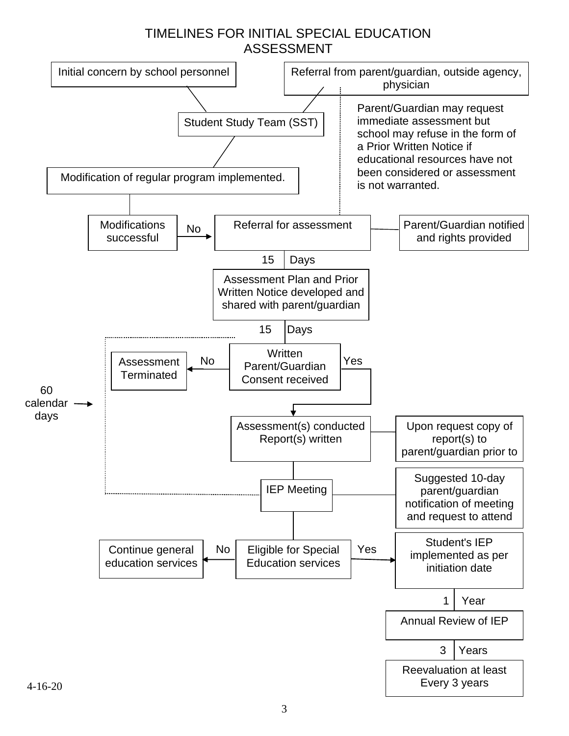# TIMELINES FOR INITIAL SPECIAL EDUCATION ASSESSMENT

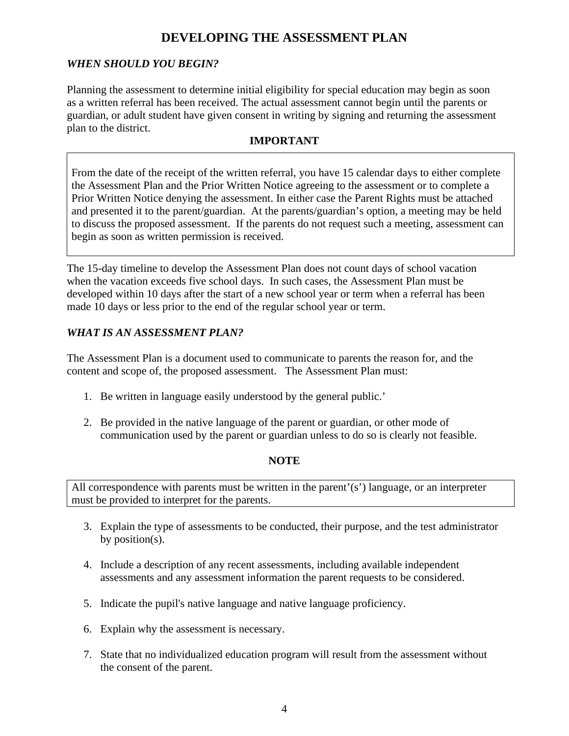# **DEVELOPING THE ASSESSMENT PLAN**

# *WHEN SHOULD YOU BEGIN?*

Planning the assessment to determine initial eligibility for special education may begin as soon as a written referral has been received. The actual assessment cannot begin until the parents or guardian, or adult student have given consent in writing by signing and returning the assessment plan to the district.

#### **IMPORTANT**

From the date of the receipt of the written referral, you have 15 calendar days to either complete the Assessment Plan and the Prior Written Notice agreeing to the assessment or to complete a Prior Written Notice denying the assessment. In either case the Parent Rights must be attached and presented it to the parent/guardian. At the parents/guardian's option, a meeting may be held to discuss the proposed assessment. If the parents do not request such a meeting, assessment can begin as soon as written permission is received.

The 15-day timeline to develop the Assessment Plan does not count days of school vacation when the vacation exceeds five school days. In such cases, the Assessment Plan must be developed within 10 days after the start of a new school year or term when a referral has been made 10 days or less prior to the end of the regular school year or term.

### *WHAT IS AN ASSESSMENT PLAN?*

The Assessment Plan is a document used to communicate to parents the reason for, and the content and scope of, the proposed assessment. The Assessment Plan must:

- 1. Be written in language easily understood by the general public.'
- 2. Be provided in the native language of the parent or guardian, or other mode of communication used by the parent or guardian unless to do so is clearly not feasible.

### **NOTE**

All correspondence with parents must be written in the parent'(s') language, or an interpreter must be provided to interpret for the parents.

- 3. Explain the type of assessments to be conducted, their purpose, and the test administrator by position(s).
- 4. Include a description of any recent assessments, including available independent assessments and any assessment information the parent requests to be considered.
- 5. Indicate the pupil's native language and native language proficiency.
- 6. Explain why the assessment is necessary.
- 7. State that no individualized education program will result from the assessment without the consent of the parent.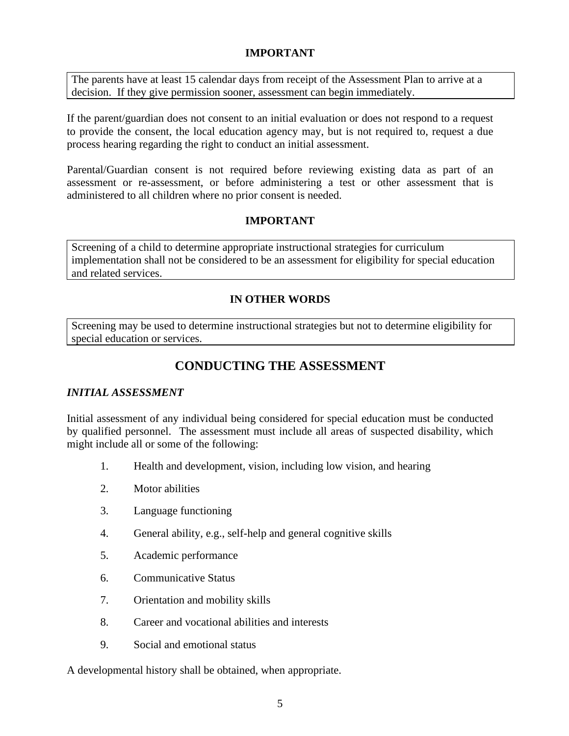#### **IMPORTANT**

The parents have at least 15 calendar days from receipt of the Assessment Plan to arrive at a decision. If they give permission sooner, assessment can begin immediately.

If the parent/guardian does not consent to an initial evaluation or does not respond to a request to provide the consent, the local education agency may, but is not required to, request a due process hearing regarding the right to conduct an initial assessment.

Parental/Guardian consent is not required before reviewing existing data as part of an assessment or re-assessment, or before administering a test or other assessment that is administered to all children where no prior consent is needed.

### **IMPORTANT**

Screening of a child to determine appropriate instructional strategies for curriculum implementation shall not be considered to be an assessment for eligibility for special education and related services.

## **IN OTHER WORDS**

Screening may be used to determine instructional strategies but not to determine eligibility for special education or services.

# **CONDUCTING THE ASSESSMENT**

#### *INITIAL ASSESSMENT*

Initial assessment of any individual being considered for special education must be conducted by qualified personnel. The assessment must include all areas of suspected disability, which might include all or some of the following:

- 1. Health and development, vision, including low vision, and hearing
- 2. Motor abilities
- 3. Language functioning
- 4. General ability, e.g., self-help and general cognitive skills
- 5. Academic performance
- 6. Communicative Status
- 7. Orientation and mobility skills
- 8. Career and vocational abilities and interests
- 9. Social and emotional status

A developmental history shall be obtained, when appropriate.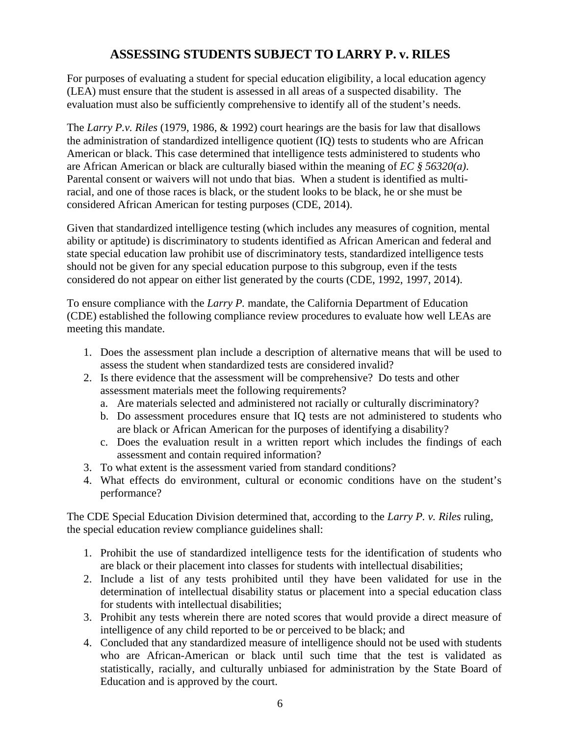# **ASSESSING STUDENTS SUBJECT TO LARRY P. v. RILES**

For purposes of evaluating a student for special education eligibility, a local education agency (LEA) must ensure that the student is assessed in all areas of a suspected disability. The evaluation must also be sufficiently comprehensive to identify all of the student's needs.

The *Larry P.v. Riles* (1979, 1986, & 1992) court hearings are the basis for law that disallows the administration of standardized intelligence quotient (IQ) tests to students who are African American or black. This case determined that intelligence tests administered to students who are African American or black are culturally biased within the meaning of *EC § 56320(a)*. Parental consent or waivers will not undo that bias. When a student is identified as multiracial, and one of those races is black, or the student looks to be black, he or she must be considered African American for testing purposes (CDE, 2014).

Given that standardized intelligence testing (which includes any measures of cognition, mental ability or aptitude) is discriminatory to students identified as African American and federal and state special education law prohibit use of discriminatory tests, standardized intelligence tests should not be given for any special education purpose to this subgroup, even if the tests considered do not appear on either list generated by the courts (CDE, 1992, 1997, 2014).

To ensure compliance with the *Larry P.* mandate, the California Department of Education (CDE) established the following compliance review procedures to evaluate how well LEAs are meeting this mandate.

- 1. Does the assessment plan include a description of alternative means that will be used to assess the student when standardized tests are considered invalid?
- 2. Is there evidence that the assessment will be comprehensive? Do tests and other assessment materials meet the following requirements?
	- a. Are materials selected and administered not racially or culturally discriminatory?
	- b. Do assessment procedures ensure that IQ tests are not administered to students who are black or African American for the purposes of identifying a disability?
	- c. Does the evaluation result in a written report which includes the findings of each assessment and contain required information?
- 3. To what extent is the assessment varied from standard conditions?
- 4. What effects do environment, cultural or economic conditions have on the student's performance?

The CDE Special Education Division determined that, according to the *Larry P. v. Riles* ruling, the special education review compliance guidelines shall:

- 1. Prohibit the use of standardized intelligence tests for the identification of students who are black or their placement into classes for students with intellectual disabilities;
- 2. Include a list of any tests prohibited until they have been validated for use in the determination of intellectual disability status or placement into a special education class for students with intellectual disabilities;
- 3. Prohibit any tests wherein there are noted scores that would provide a direct measure of intelligence of any child reported to be or perceived to be black; and
- 4. Concluded that any standardized measure of intelligence should not be used with students who are African-American or black until such time that the test is validated as statistically, racially, and culturally unbiased for administration by the State Board of Education and is approved by the court.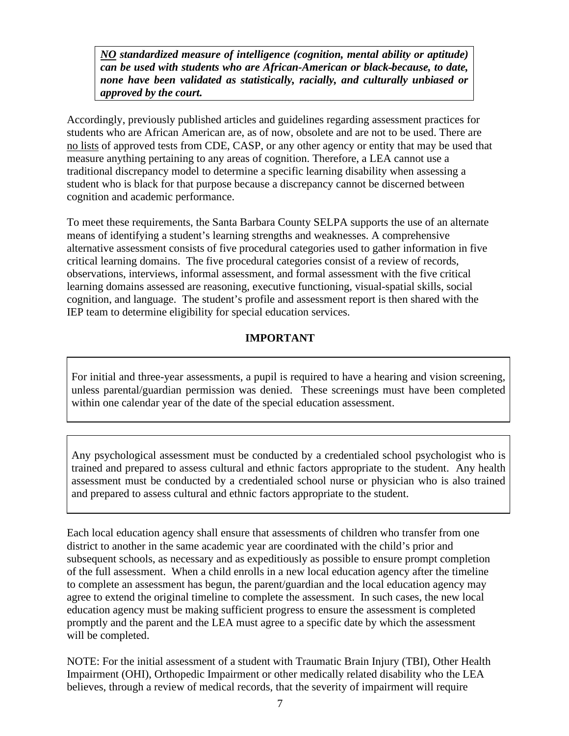*NO standardized measure of intelligence (cognition, mental ability or aptitude) can be used with students who are African-American or black because, to date, none have been validated as statistically, racially, and culturally unbiased or approved by the court.* 

Accordingly, previously published articles and guidelines regarding assessment practices for students who are African American are, as of now, obsolete and are not to be used. There are no lists of approved tests from CDE, CASP, or any other agency or entity that may be used that measure anything pertaining to any areas of cognition. Therefore, a LEA cannot use a traditional discrepancy model to determine a specific learning disability when assessing a student who is black for that purpose because a discrepancy cannot be discerned between cognition and academic performance.

To meet these requirements, the Santa Barbara County SELPA supports the use of an alternate means of identifying a student's learning strengths and weaknesses. A comprehensive alternative assessment consists of five procedural categories used to gather information in five critical learning domains. The five procedural categories consist of a review of records, observations, interviews, informal assessment, and formal assessment with the five critical learning domains assessed are reasoning, executive functioning, visual-spatial skills, social cognition, and language. The student's profile and assessment report is then shared with the IEP team to determine eligibility for special education services.

## **IMPORTANT**

For initial and three-year assessments, a pupil is required to have a hearing and vision screening, unless parental/guardian permission was denied. These screenings must have been completed within one calendar year of the date of the special education assessment.

Any psychological assessment must be conducted by a credentialed school psychologist who is trained and prepared to assess cultural and ethnic factors appropriate to the student. Any health assessment must be conducted by a credentialed school nurse or physician who is also trained and prepared to assess cultural and ethnic factors appropriate to the student.

Each local education agency shall ensure that assessments of children who transfer from one district to another in the same academic year are coordinated with the child's prior and subsequent schools, as necessary and as expeditiously as possible to ensure prompt completion of the full assessment. When a child enrolls in a new local education agency after the timeline to complete an assessment has begun, the parent/guardian and the local education agency may agree to extend the original timeline to complete the assessment. In such cases, the new local education agency must be making sufficient progress to ensure the assessment is completed promptly and the parent and the LEA must agree to a specific date by which the assessment will be completed.

NOTE: For the initial assessment of a student with Traumatic Brain Injury (TBI), Other Health Impairment (OHI), Orthopedic Impairment or other medically related disability who the LEA believes, through a review of medical records, that the severity of impairment will require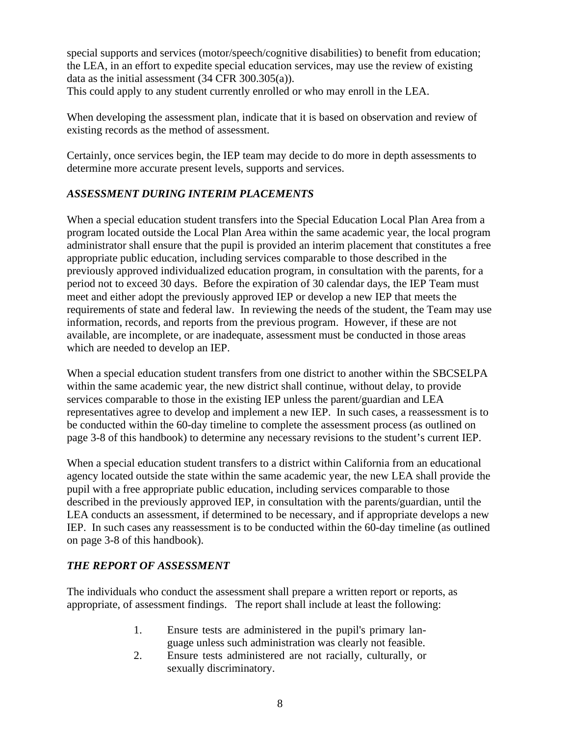special supports and services (motor/speech/cognitive disabilities) to benefit from education; the LEA, in an effort to expedite special education services, may use the review of existing data as the initial assessment (34 CFR 300.305(a)). This could apply to any student currently enrolled or who may enroll in the LEA.

When developing the assessment plan, indicate that it is based on observation and review of existing records as the method of assessment.

Certainly, once services begin, the IEP team may decide to do more in depth assessments to determine more accurate present levels, supports and services.

# *ASSESSMENT DURING INTERIM PLACEMENTS*

When a special education student transfers into the Special Education Local Plan Area from a program located outside the Local Plan Area within the same academic year, the local program administrator shall ensure that the pupil is provided an interim placement that constitutes a free appropriate public education, including services comparable to those described in the previously approved individualized education program, in consultation with the parents, for a period not to exceed 30 days. Before the expiration of 30 calendar days, the IEP Team must meet and either adopt the previously approved IEP or develop a new IEP that meets the requirements of state and federal law. In reviewing the needs of the student, the Team may use information, records, and reports from the previous program. However, if these are not available, are incomplete, or are inadequate, assessment must be conducted in those areas which are needed to develop an IEP.

When a special education student transfers from one district to another within the SBCSELPA within the same academic year, the new district shall continue, without delay, to provide services comparable to those in the existing IEP unless the parent/guardian and LEA representatives agree to develop and implement a new IEP. In such cases, a reassessment is to be conducted within the 60-day timeline to complete the assessment process (as outlined on page 3-8 of this handbook) to determine any necessary revisions to the student's current IEP.

When a special education student transfers to a district within California from an educational agency located outside the state within the same academic year, the new LEA shall provide the pupil with a free appropriate public education, including services comparable to those described in the previously approved IEP, in consultation with the parents/guardian, until the LEA conducts an assessment, if determined to be necessary, and if appropriate develops a new IEP. In such cases any reassessment is to be conducted within the 60-day timeline (as outlined on page 3-8 of this handbook).

### *THE REPORT OF ASSESSMENT*

The individuals who conduct the assessment shall prepare a written report or reports, as appropriate, of assessment findings. The report shall include at least the following:

- 1. Ensure tests are administered in the pupil's primary language unless such administration was clearly not feasible.
- 2. Ensure tests administered are not racially, culturally, or sexually discriminatory.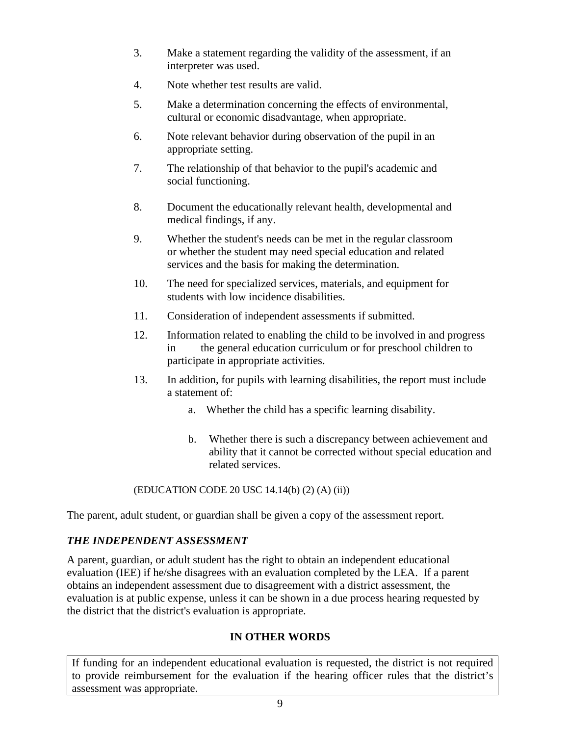- 3. Make a statement regarding the validity of the assessment, if an interpreter was used.
- 4. Note whether test results are valid.
- 5. Make a determination concerning the effects of environmental, cultural or economic disadvantage, when appropriate.
- 6. Note relevant behavior during observation of the pupil in an appropriate setting.
- 7. The relationship of that behavior to the pupil's academic and social functioning.
- 8. Document the educationally relevant health, developmental and medical findings, if any.
- 9. Whether the student's needs can be met in the regular classroom or whether the student may need special education and related services and the basis for making the determination.
- 10. The need for specialized services, materials, and equipment for students with low incidence disabilities.
- 11. Consideration of independent assessments if submitted.
- 12. Information related to enabling the child to be involved in and progress in the general education curriculum or for preschool children to participate in appropriate activities.
- 13. In addition, for pupils with learning disabilities, the report must include a statement of:
	- a. Whether the child has a specific learning disability.
	- b. Whether there is such a discrepancy between achievement and ability that it cannot be corrected without special education and related services.

### (EDUCATION CODE 20 USC 14.14(b) (2) (A) (ii))

The parent, adult student, or guardian shall be given a copy of the assessment report.

### *THE INDEPENDENT ASSESSMENT*

A parent, guardian, or adult student has the right to obtain an independent educational evaluation (IEE) if he/she disagrees with an evaluation completed by the LEA. If a parent obtains an independent assessment due to disagreement with a district assessment, the evaluation is at public expense, unless it can be shown in a due process hearing requested by the district that the district's evaluation is appropriate.

# **IN OTHER WORDS**

If funding for an independent educational evaluation is requested, the district is not required to provide reimbursement for the evaluation if the hearing officer rules that the district's assessment was appropriate.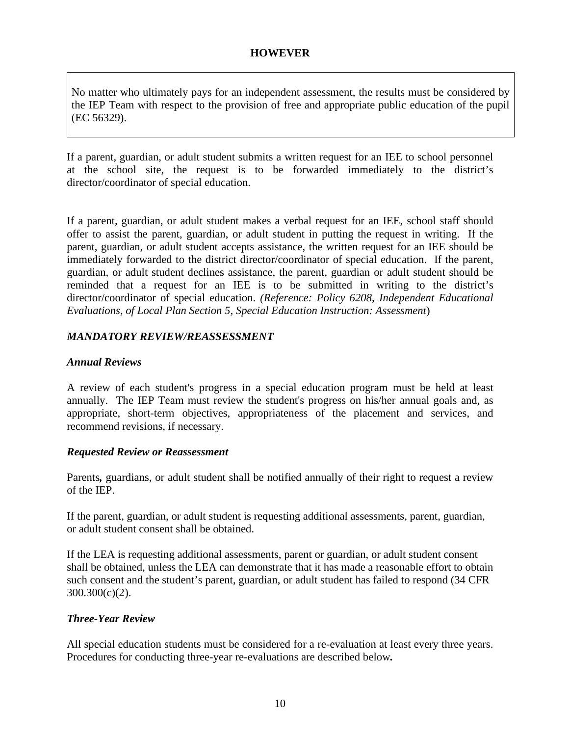#### **HOWEVER**

No matter who ultimately pays for an independent assessment, the results must be considered by the IEP Team with respect to the provision of free and appropriate public education of the pupil (EC 56329).

If a parent, guardian, or adult student submits a written request for an IEE to school personnel at the school site, the request is to be forwarded immediately to the district's director/coordinator of special education.

If a parent*,* guardian, or adult student makes a verbal request for an IEE, school staff should offer to assist the parent, guardian, or adult student in putting the request in writing. If the parent, guardian, or adult student accepts assistance, the written request for an IEE should be immediately forwarded to the district director/coordinator of special education. If the parent, guardian, or adult student declines assistance, the parent, guardian or adult student should be reminded that a request for an IEE is to be submitted in writing to the district's director/coordinator of special education. *(Reference: Policy 6208, Independent Educational Evaluations, of Local Plan Section 5, Special Education Instruction: Assessment*)

#### *MANDATORY REVIEW/REASSESSMENT*

#### *Annual Reviews*

A review of each student's progress in a special education program must be held at least annually. The IEP Team must review the student's progress on his/her annual goals and, as appropriate, short-term objectives, appropriateness of the placement and services, and recommend revisions, if necessary.

#### *Requested Review or Reassessment*

Parents*,* guardians, or adult student shall be notified annually of their right to request a review of the IEP.

If the parent, guardian, or adult student is requesting additional assessments, parent, guardian, or adult student consent shall be obtained.

If the LEA is requesting additional assessments, parent or guardian, or adult student consent shall be obtained, unless the LEA can demonstrate that it has made a reasonable effort to obtain such consent and the student's parent, guardian, or adult student has failed to respond (34 CFR 300.300(c)(2).

#### *Three-Year Review*

All special education students must be considered for a re-evaluation at least every three years. Procedures for conducting three-year re-evaluations are described below*.*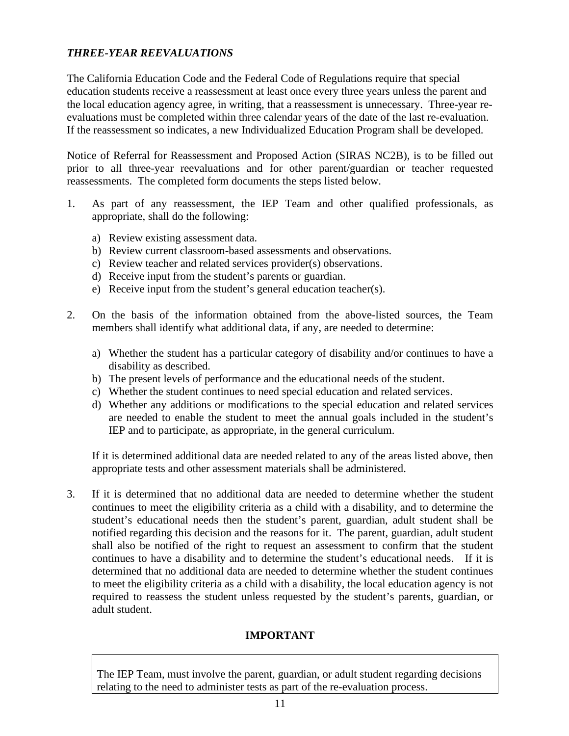## *THREE-YEAR REEVALUATIONS*

The California Education Code and the Federal Code of Regulations require that special education students receive a reassessment at least once every three years unless the parent and the local education agency agree, in writing, that a reassessment is unnecessary. Three-year reevaluations must be completed within three calendar years of the date of the last re-evaluation. If the reassessment so indicates, a new Individualized Education Program shall be developed.

Notice of Referral for Reassessment and Proposed Action (SIRAS NC2B), is to be filled out prior to all three-year reevaluations and for other parent/guardian or teacher requested reassessments. The completed form documents the steps listed below.

- 1. As part of any reassessment, the IEP Team and other qualified professionals, as appropriate, shall do the following:
	- a) Review existing assessment data.
	- b) Review current classroom-based assessments and observations.
	- c) Review teacher and related services provider(s) observations.
	- d) Receive input from the student's parents or guardian.
	- e) Receive input from the student's general education teacher(s).
- 2. On the basis of the information obtained from the above-listed sources, the Team members shall identify what additional data, if any, are needed to determine:
	- a) Whether the student has a particular category of disability and/or continues to have a disability as described.
	- b) The present levels of performance and the educational needs of the student.
	- c) Whether the student continues to need special education and related services.
	- d) Whether any additions or modifications to the special education and related services are needed to enable the student to meet the annual goals included in the student's IEP and to participate, as appropriate, in the general curriculum.

If it is determined additional data are needed related to any of the areas listed above, then appropriate tests and other assessment materials shall be administered.

3. If it is determined that no additional data are needed to determine whether the student continues to meet the eligibility criteria as a child with a disability, and to determine the student's educational needs then the student's parent, guardian, adult student shall be notified regarding this decision and the reasons for it. The parent, guardian, adult student shall also be notified of the right to request an assessment to confirm that the student continues to have a disability and to determine the student's educational needs. If it is determined that no additional data are needed to determine whether the student continues to meet the eligibility criteria as a child with a disability, the local education agency is not required to reassess the student unless requested by the student's parents, guardian, or adult student.

### **IMPORTANT**

The IEP Team, must involve the parent, guardian, or adult student regarding decisions relating to the need to administer tests as part of the re-evaluation process.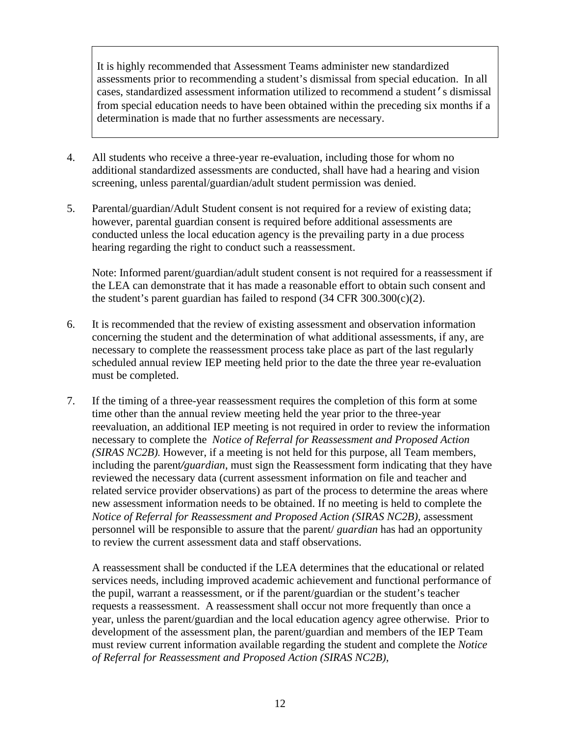It is highly recommended that Assessment Teams administer new standardized assessments prior to recommending a student's dismissal from special education. In all cases, standardized assessment information utilized to recommend a student's dismissal from special education needs to have been obtained within the preceding six months if a determination is made that no further assessments are necessary.

- 4. All students who receive a three-year re-evaluation, including those for whom no additional standardized assessments are conducted, shall have had a hearing and vision screening, unless parental/guardian/adult student permission was denied.
- 5. Parental/guardian/Adult Student consent is not required for a review of existing data; however, parental guardian consent is required before additional assessments are conducted unless the local education agency is the prevailing party in a due process hearing regarding the right to conduct such a reassessment.

 Note: Informed parent/guardian/adult student consent is not required for a reassessment if the LEA can demonstrate that it has made a reasonable effort to obtain such consent and the student's parent guardian has failed to respond  $(34 \text{ CFR } 300.300(c)(2))$ .

- 6. It is recommended that the review of existing assessment and observation information concerning the student and the determination of what additional assessments, if any, are necessary to complete the reassessment process take place as part of the last regularly scheduled annual review IEP meeting held prior to the date the three year re-evaluation must be completed.
- 7. If the timing of a three-year reassessment requires the completion of this form at some time other than the annual review meeting held the year prior to the three-year reevaluation, an additional IEP meeting is not required in order to review the information necessary to complete the *Notice of Referral for Reassessment and Proposed Action (SIRAS NC2B).* However, if a meeting is not held for this purpose, all Team members, including the parent*/guardian*, must sign the Reassessment form indicating that they have reviewed the necessary data (current assessment information on file and teacher and related service provider observations) as part of the process to determine the areas where new assessment information needs to be obtained. If no meeting is held to complete the *Notice of Referral for Reassessment and Proposed Action (SIRAS NC2B),* assessment personnel will be responsible to assure that the parent/ *guardian* has had an opportunity to review the current assessment data and staff observations.

A reassessment shall be conducted if the LEA determines that the educational or related services needs, including improved academic achievement and functional performance of the pupil, warrant a reassessment, or if the parent/guardian or the student's teacher requests a reassessment. A reassessment shall occur not more frequently than once a year, unless the parent/guardian and the local education agency agree otherwise. Prior to development of the assessment plan, the parent/guardian and members of the IEP Team must review current information available regarding the student and complete the *Notice of Referral for Reassessment and Proposed Action (SIRAS NC2B),*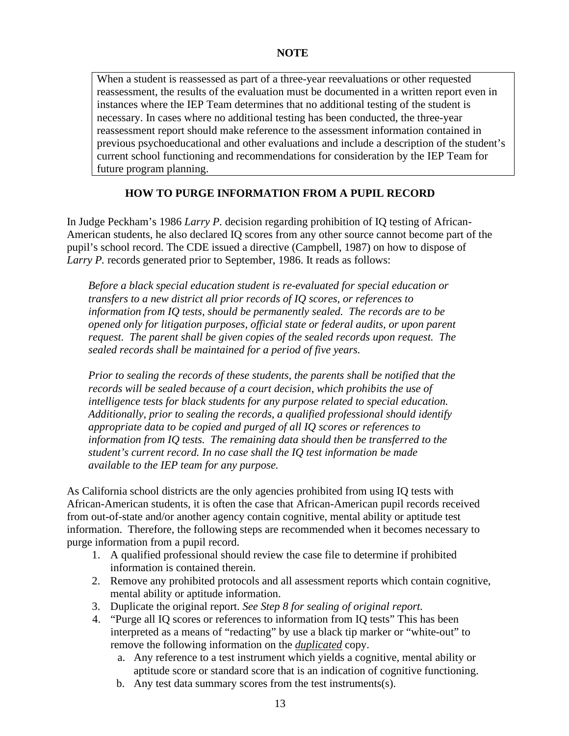When a student is reassessed as part of a three-year reevaluations or other requested reassessment, the results of the evaluation must be documented in a written report even in instances where the IEP Team determines that no additional testing of the student is necessary. In cases where no additional testing has been conducted, the three-year reassessment report should make reference to the assessment information contained in previous psychoeducational and other evaluations and include a description of the student's current school functioning and recommendations for consideration by the IEP Team for future program planning.

### **HOW TO PURGE INFORMATION FROM A PUPIL RECORD**

In Judge Peckham's 1986 *Larry P.* decision regarding prohibition of IQ testing of African-American students, he also declared IQ scores from any other source cannot become part of the pupil's school record. The CDE issued a directive (Campbell, 1987) on how to dispose of *Larry P.* records generated prior to September, 1986. It reads as follows:

*Before a black special education student is re-evaluated for special education or transfers to a new district all prior records of IQ scores, or references to information from IQ tests, should be permanently sealed. The records are to be opened only for litigation purposes, official state or federal audits, or upon parent request. The parent shall be given copies of the sealed records upon request. The sealed records shall be maintained for a period of five years.*

*Prior to sealing the records of these students, the parents shall be notified that the records will be sealed because of a court decision, which prohibits the use of intelligence tests for black students for any purpose related to special education. Additionally, prior to sealing the records, a qualified professional should identify appropriate data to be copied and purged of all IQ scores or references to information from IQ tests. The remaining data should then be transferred to the student's current record. In no case shall the IQ test information be made available to the IEP team for any purpose.*

As California school districts are the only agencies prohibited from using IQ tests with African-American students, it is often the case that African-American pupil records received from out-of-state and/or another agency contain cognitive, mental ability or aptitude test information. Therefore, the following steps are recommended when it becomes necessary to purge information from a pupil record.

- 1. A qualified professional should review the case file to determine if prohibited information is contained therein.
- 2. Remove any prohibited protocols and all assessment reports which contain cognitive, mental ability or aptitude information.
- 3. Duplicate the original report. *See Step 8 for sealing of original report.*
- 4. "Purge all IQ scores or references to information from IQ tests" This has been interpreted as a means of "redacting" by use a black tip marker or "white-out" to remove the following information on the *duplicated* copy.
	- a. Any reference to a test instrument which yields a cognitive, mental ability or aptitude score or standard score that is an indication of cognitive functioning.
	- b. Any test data summary scores from the test instruments(s).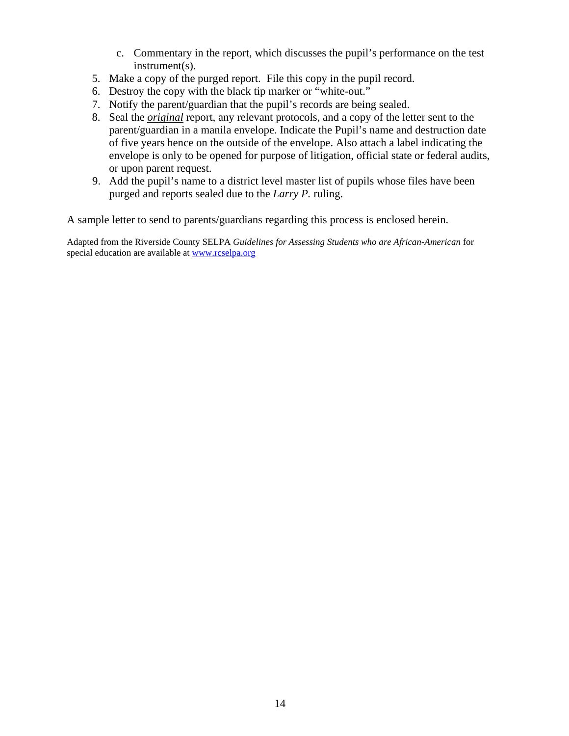- c. Commentary in the report, which discusses the pupil's performance on the test instrument(s).
- 5. Make a copy of the purged report. File this copy in the pupil record.
- 6. Destroy the copy with the black tip marker or "white-out."
- 7. Notify the parent/guardian that the pupil's records are being sealed.
- 8. Seal the *original* report, any relevant protocols, and a copy of the letter sent to the parent/guardian in a manila envelope. Indicate the Pupil's name and destruction date of five years hence on the outside of the envelope. Also attach a label indicating the envelope is only to be opened for purpose of litigation, official state or federal audits, or upon parent request.
- 9. Add the pupil's name to a district level master list of pupils whose files have been purged and reports sealed due to the *Larry P.* ruling.

A sample letter to send to parents/guardians regarding this process is enclosed herein.

Adapted from the Riverside County SELPA *Guidelines for Assessing Students who are African-American* for special education are available a[t www.rcselpa.org](http://www.rcselpa.org/)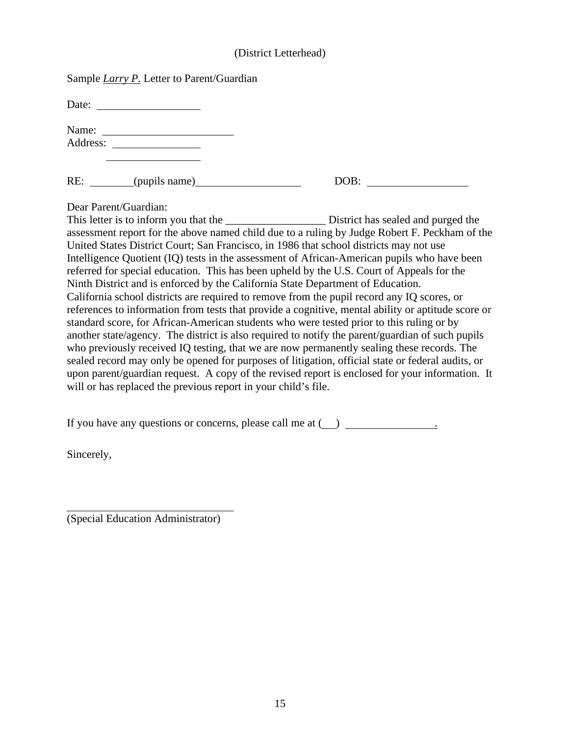#### (District Letterhead)

| Sample <i>Larry P.</i> Letter to Parent/Guardian |
|--------------------------------------------------|
|--------------------------------------------------|

Date:

| Name:    |  |
|----------|--|
| Address: |  |

RE: \_\_\_\_\_\_\_(pupils name) DO

| ∩D<br>UD. |  |
|-----------|--|
|           |  |

Dear Parent/Guardian:

This letter is to inform you that the District has sealed and purged the assessment report for the above named child due to a ruling by Judge Robert F. Peckham of the United States District Court; San Francisco, in 1986 that school districts may not use Intelligence Quotient (IQ) tests in the assessment of African-American pupils who have been referred for special education. This has been upheld by the U.S. Court of Appeals for the Ninth District and is enforced by the California State Department of Education. California school districts are required to remove from the pupil record any IQ scores, or references to information from tests that provide a cognitive, mental ability or aptitude score or standard score, for African-American students who were tested prior to this ruling or by another state/agency. The district is also required to notify the parent/guardian of such pupils who previously received IQ testing, that we are now permanently sealing these records. The sealed record may only be opened for purposes of litigation, official state or federal audits, or upon parent/guardian request. A copy of the revised report is enclosed for your information. It will or has replaced the previous report in your child's file.

If you have any questions or concerns, please call me at  $($ ).

Sincerely,

(Special Education Administrator)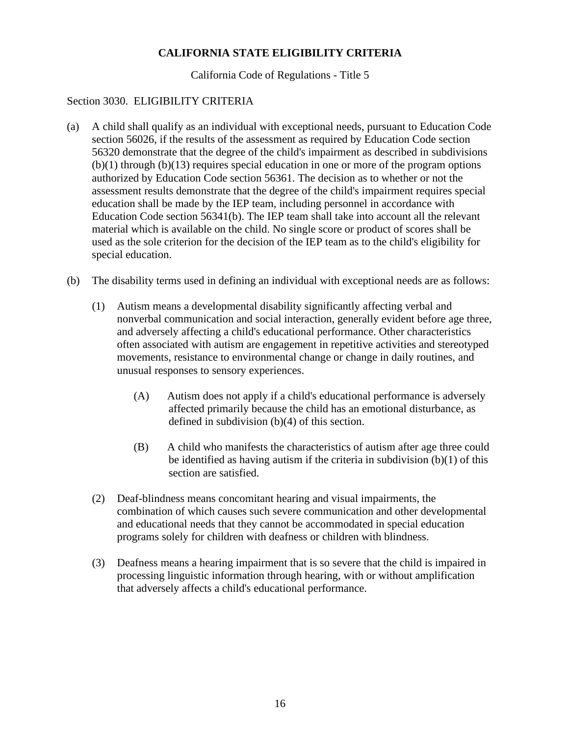#### **CALIFORNIA STATE ELIGIBILITY CRITERIA**

California Code of Regulations - Title 5

#### Section 3030. ELIGIBILITY CRITERIA

- (a) A child shall qualify as an individual with exceptional needs, pursuant to Education Code section 56026, if the results of the assessment as required by Education Code section 56320 demonstrate that the degree of the child's impairment as described in subdivisions  $(b)(1)$  through  $(b)(13)$  requires special education in one or more of the program options authorized by Education Code section 56361. The decision as to whether or not the assessment results demonstrate that the degree of the child's impairment requires special education shall be made by the IEP team, including personnel in accordance with Education Code section 56341(b). The IEP team shall take into account all the relevant material which is available on the child. No single score or product of scores shall be used as the sole criterion for the decision of the IEP team as to the child's eligibility for special education.
- (b) The disability terms used in defining an individual with exceptional needs are as follows:
	- (1) Autism means a developmental disability significantly affecting verbal and nonverbal communication and social interaction, generally evident before age three, and adversely affecting a child's educational performance. Other characteristics often associated with autism are engagement in repetitive activities and stereotyped movements, resistance to environmental change or change in daily routines, and unusual responses to sensory experiences.
		- (A) Autism does not apply if a child's educational performance is adversely affected primarily because the child has an emotional disturbance, as defined in subdivision (b)(4) of this section.
		- (B) A child who manifests the characteristics of autism after age three could be identified as having autism if the criteria in subdivision  $(b)(1)$  of this section are satisfied.
	- (2) Deaf-blindness means concomitant hearing and visual impairments, the combination of which causes such severe communication and other developmental and educational needs that they cannot be accommodated in special education programs solely for children with deafness or children with blindness.
	- (3) Deafness means a hearing impairment that is so severe that the child is impaired in processing linguistic information through hearing, with or without amplification that adversely affects a child's educational performance.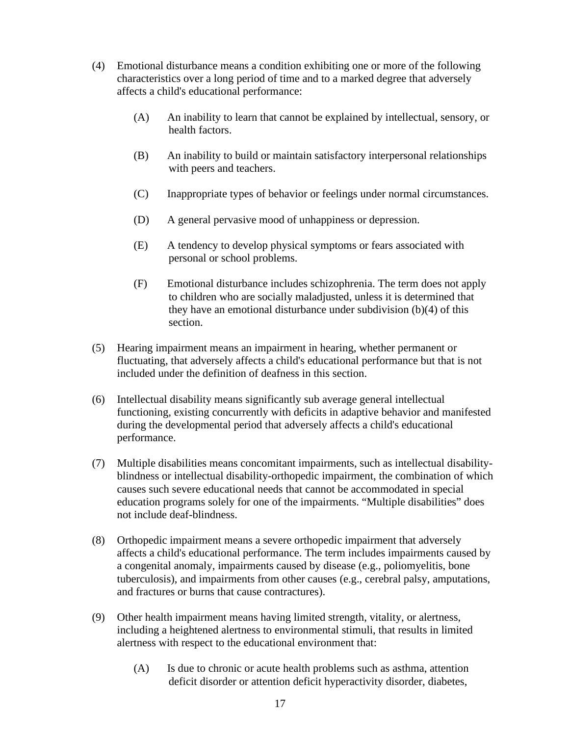- (4) Emotional disturbance means a condition exhibiting one or more of the following characteristics over a long period of time and to a marked degree that adversely affects a child's educational performance:
	- (A) An inability to learn that cannot be explained by intellectual, sensory, or health factors.
	- (B) An inability to build or maintain satisfactory interpersonal relationships with peers and teachers.
	- (C) Inappropriate types of behavior or feelings under normal circumstances.
	- (D) A general pervasive mood of unhappiness or depression.
	- (E) A tendency to develop physical symptoms or fears associated with personal or school problems.
	- (F) Emotional disturbance includes schizophrenia. The term does not apply to children who are socially maladjusted, unless it is determined that they have an emotional disturbance under subdivision (b)(4) of this section.
- (5) Hearing impairment means an impairment in hearing, whether permanent or fluctuating, that adversely affects a child's educational performance but that is not included under the definition of deafness in this section.
- (6) Intellectual disability means significantly sub average general intellectual functioning, existing concurrently with deficits in adaptive behavior and manifested during the developmental period that adversely affects a child's educational performance.
- (7) Multiple disabilities means concomitant impairments, such as intellectual disabilityblindness or intellectual disability-orthopedic impairment, the combination of which causes such severe educational needs that cannot be accommodated in special education programs solely for one of the impairments. "Multiple disabilities" does not include deaf-blindness.
- (8) Orthopedic impairment means a severe orthopedic impairment that adversely affects a child's educational performance. The term includes impairments caused by a congenital anomaly, impairments caused by disease (e.g., poliomyelitis, bone tuberculosis), and impairments from other causes (e.g., cerebral palsy, amputations, and fractures or burns that cause contractures).
- (9) Other health impairment means having limited strength, vitality, or alertness, including a heightened alertness to environmental stimuli, that results in limited alertness with respect to the educational environment that:
	- (A) Is due to chronic or acute health problems such as asthma, attention deficit disorder or attention deficit hyperactivity disorder, diabetes,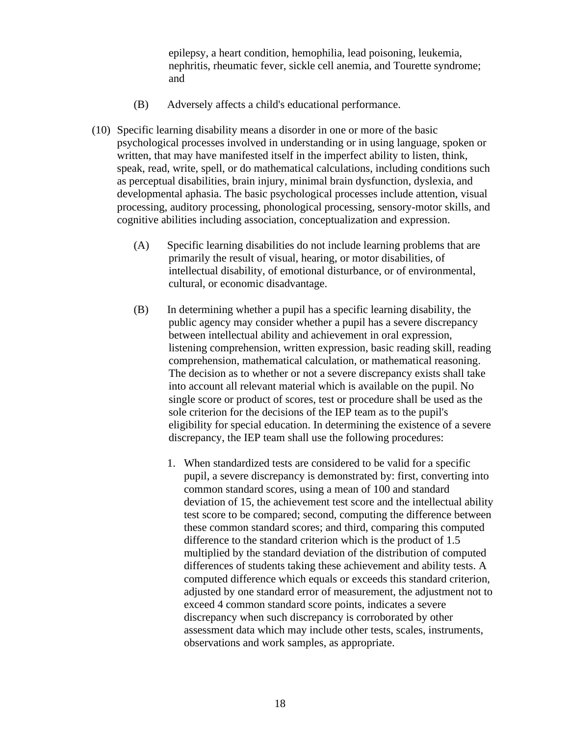epilepsy, a heart condition, hemophilia, lead poisoning, leukemia, nephritis, rheumatic fever, sickle cell anemia, and Tourette syndrome; and

- (B) Adversely affects a child's educational performance.
- (10) Specific learning disability means a disorder in one or more of the basic psychological processes involved in understanding or in using language, spoken or written, that may have manifested itself in the imperfect ability to listen, think, speak, read, write, spell, or do mathematical calculations, including conditions such as perceptual disabilities, brain injury, minimal brain dysfunction, dyslexia, and developmental aphasia. The basic psychological processes include attention, visual processing, auditory processing, phonological processing, sensory-motor skills, and cognitive abilities including association, conceptualization and expression.
	- (A) Specific learning disabilities do not include learning problems that are primarily the result of visual, hearing, or motor disabilities, of intellectual disability, of emotional disturbance, or of environmental, cultural, or economic disadvantage.
	- (B) In determining whether a pupil has a specific learning disability, the public agency may consider whether a pupil has a severe discrepancy between intellectual ability and achievement in oral expression, listening comprehension, written expression, basic reading skill, reading comprehension, mathematical calculation, or mathematical reasoning. The decision as to whether or not a severe discrepancy exists shall take into account all relevant material which is available on the pupil. No single score or product of scores, test or procedure shall be used as the sole criterion for the decisions of the IEP team as to the pupil's eligibility for special education. In determining the existence of a severe discrepancy, the IEP team shall use the following procedures:
		- 1. When standardized tests are considered to be valid for a specific pupil, a severe discrepancy is demonstrated by: first, converting into common standard scores, using a mean of 100 and standard deviation of 15, the achievement test score and the intellectual ability test score to be compared; second, computing the difference between these common standard scores; and third, comparing this computed difference to the standard criterion which is the product of 1.5 multiplied by the standard deviation of the distribution of computed differences of students taking these achievement and ability tests. A computed difference which equals or exceeds this standard criterion, adjusted by one standard error of measurement, the adjustment not to exceed 4 common standard score points, indicates a severe discrepancy when such discrepancy is corroborated by other assessment data which may include other tests, scales, instruments, observations and work samples, as appropriate.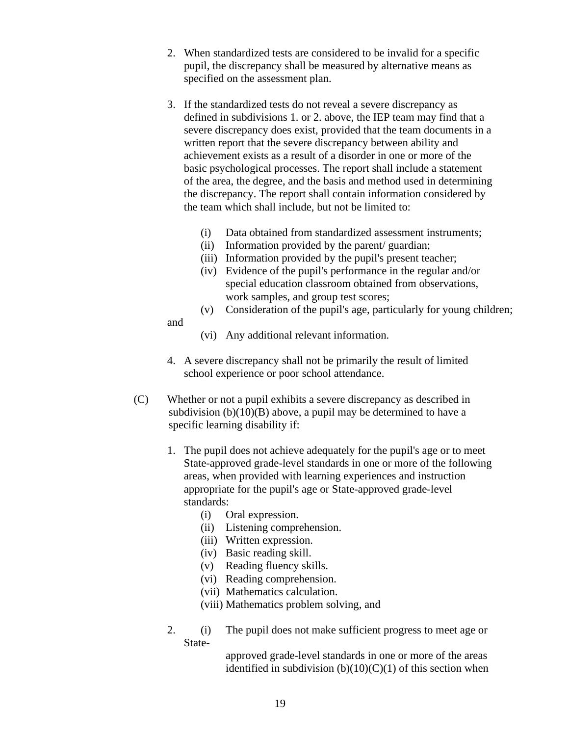- 2. When standardized tests are considered to be invalid for a specific pupil, the discrepancy shall be measured by alternative means as specified on the assessment plan.
- 3. If the standardized tests do not reveal a severe discrepancy as defined in subdivisions 1. or 2. above, the IEP team may find that a severe discrepancy does exist, provided that the team documents in a written report that the severe discrepancy between ability and achievement exists as a result of a disorder in one or more of the basic psychological processes. The report shall include a statement of the area, the degree, and the basis and method used in determining the discrepancy. The report shall contain information considered by the team which shall include, but not be limited to:
	- (i) Data obtained from standardized assessment instruments;
	- (ii) Information provided by the parent/ guardian;
	- (iii) Information provided by the pupil's present teacher;
	- (iv) Evidence of the pupil's performance in the regular and/or special education classroom obtained from observations, work samples, and group test scores;
	- (v) Consideration of the pupil's age, particularly for young children;

and

- (vi) Any additional relevant information.
- 4. A severe discrepancy shall not be primarily the result of limited school experience or poor school attendance.
- (C) Whether or not a pupil exhibits a severe discrepancy as described in subdivision  $(b)(10)(B)$  above, a pupil may be determined to have a specific learning disability if:
	- 1. The pupil does not achieve adequately for the pupil's age or to meet State-approved grade-level standards in one or more of the following areas, when provided with learning experiences and instruction appropriate for the pupil's age or State-approved grade-level standards:
		- (i) Oral expression.
		- (ii) Listening comprehension.
		- (iii) Written expression.
		- (iv) Basic reading skill.
		- (v) Reading fluency skills.
		- (vi) Reading comprehension.
		- (vii) Mathematics calculation.

(viii) Mathematics problem solving, and

2. (i) The pupil does not make sufficient progress to meet age or State-

> approved grade-level standards in one or more of the areas identified in subdivision  $(b)(10)(C)(1)$  of this section when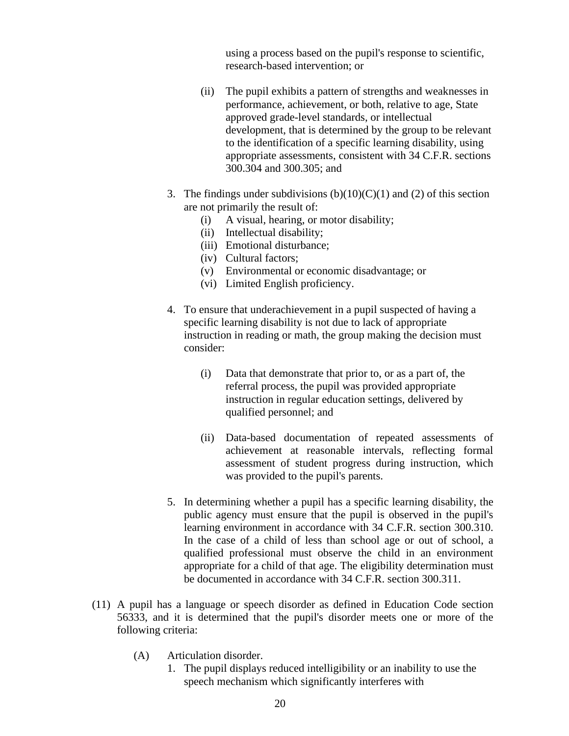using a process based on the pupil's response to scientific, research-based intervention; or

- (ii) The pupil exhibits a pattern of strengths and weaknesses in performance, achievement, or both, relative to age, State approved grade-level standards, or intellectual development, that is determined by the group to be relevant to the identification of a specific learning disability, using appropriate assessments, consistent with 34 C.F.R. sections 300.304 and 300.305; and
- 3. The findings under subdivisions  $(b)(10)(C)(1)$  and  $(2)$  of this section are not primarily the result of:
	- (i) A visual, hearing, or motor disability;
	- (ii) Intellectual disability;
	- (iii) Emotional disturbance;
	- (iv) Cultural factors;
	- (v) Environmental or economic disadvantage; or
	- (vi) Limited English proficiency.
- 4. To ensure that underachievement in a pupil suspected of having a specific learning disability is not due to lack of appropriate instruction in reading or math, the group making the decision must consider:
	- (i) Data that demonstrate that prior to, or as a part of, the referral process, the pupil was provided appropriate instruction in regular education settings, delivered by qualified personnel; and
	- (ii) Data-based documentation of repeated assessments of achievement at reasonable intervals, reflecting formal assessment of student progress during instruction, which was provided to the pupil's parents.
- 5. In determining whether a pupil has a specific learning disability, the public agency must ensure that the pupil is observed in the pupil's learning environment in accordance with 34 C.F.R. section 300.310. In the case of a child of less than school age or out of school, a qualified professional must observe the child in an environment appropriate for a child of that age. The eligibility determination must be documented in accordance with 34 C.F.R. section 300.311.
- (11) A pupil has a language or speech disorder as defined in Education Code section 56333, and it is determined that the pupil's disorder meets one or more of the following criteria:
	- (A) Articulation disorder.
		- 1. The pupil displays reduced intelligibility or an inability to use the speech mechanism which significantly interferes with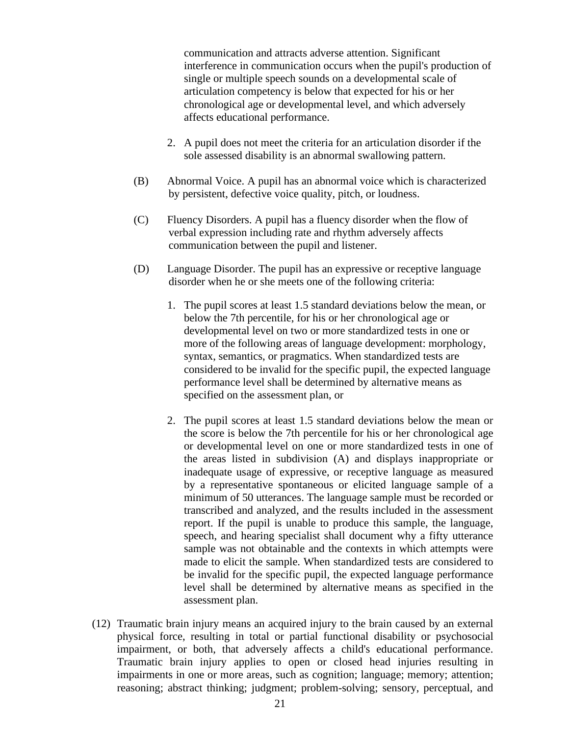communication and attracts adverse attention. Significant interference in communication occurs when the pupil's production of single or multiple speech sounds on a developmental scale of articulation competency is below that expected for his or her chronological age or developmental level, and which adversely affects educational performance.

- 2. A pupil does not meet the criteria for an articulation disorder if the sole assessed disability is an abnormal swallowing pattern.
- (B) Abnormal Voice. A pupil has an abnormal voice which is characterized by persistent, defective voice quality, pitch, or loudness.
- (C) Fluency Disorders. A pupil has a fluency disorder when the flow of verbal expression including rate and rhythm adversely affects communication between the pupil and listener.
- (D) Language Disorder. The pupil has an expressive or receptive language disorder when he or she meets one of the following criteria:
	- 1. The pupil scores at least 1.5 standard deviations below the mean, or below the 7th percentile, for his or her chronological age or developmental level on two or more standardized tests in one or more of the following areas of language development: morphology, syntax, semantics, or pragmatics. When standardized tests are considered to be invalid for the specific pupil, the expected language performance level shall be determined by alternative means as specified on the assessment plan, or
	- 2. The pupil scores at least 1.5 standard deviations below the mean or the score is below the 7th percentile for his or her chronological age or developmental level on one or more standardized tests in one of the areas listed in subdivision (A) and displays inappropriate or inadequate usage of expressive, or receptive language as measured by a representative spontaneous or elicited language sample of a minimum of 50 utterances. The language sample must be recorded or transcribed and analyzed, and the results included in the assessment report. If the pupil is unable to produce this sample, the language, speech, and hearing specialist shall document why a fifty utterance sample was not obtainable and the contexts in which attempts were made to elicit the sample. When standardized tests are considered to be invalid for the specific pupil, the expected language performance level shall be determined by alternative means as specified in the assessment plan.
- (12) Traumatic brain injury means an acquired injury to the brain caused by an external physical force, resulting in total or partial functional disability or psychosocial impairment, or both, that adversely affects a child's educational performance. Traumatic brain injury applies to open or closed head injuries resulting in impairments in one or more areas, such as cognition; language; memory; attention; reasoning; abstract thinking; judgment; problem-solving; sensory, perceptual, and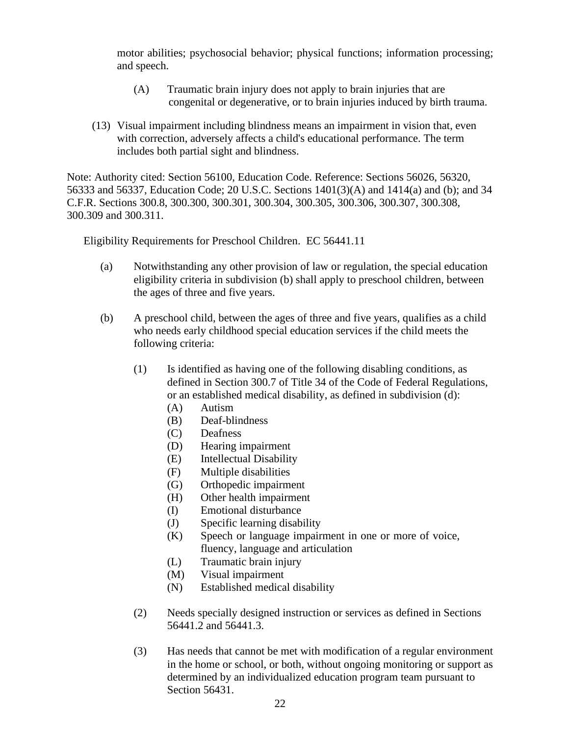motor abilities; psychosocial behavior; physical functions; information processing; and speech.

- (A) Traumatic brain injury does not apply to brain injuries that are congenital or degenerative, or to brain injuries induced by birth trauma.
- (13) Visual impairment including blindness means an impairment in vision that, even with correction, adversely affects a child's educational performance. The term includes both partial sight and blindness.

Note: Authority cited: Section 56100, Education Code. Reference: Sections 56026, 56320, 56333 and 56337, Education Code; 20 U.S.C. Sections 1401(3)(A) and 1414(a) and (b); and 34 C.F.R. Sections 300.8, 300.300, 300.301, 300.304, 300.305, 300.306, 300.307, 300.308, 300.309 and 300.311.

Eligibility Requirements for Preschool Children. EC 56441.11

- (a) Notwithstanding any other provision of law or regulation, the special education eligibility criteria in subdivision (b) shall apply to preschool children, between the ages of three and five years.
- (b) A preschool child, between the ages of three and five years, qualifies as a child who needs early childhood special education services if the child meets the following criteria:
	- (1) Is identified as having one of the following disabling conditions, as defined in Section 300.7 of Title 34 of the Code of Federal Regulations, or an established medical disability, as defined in subdivision (d):
		- (A) Autism
		- (B) Deaf-blindness
		- (C) Deafness
		- (D) Hearing impairment
		- (E) Intellectual Disability
		- (F) Multiple disabilities
		- (G) Orthopedic impairment
		- (H) Other health impairment
		- (I) Emotional disturbance
		- (J) Specific learning disability
		- (K) Speech or language impairment in one or more of voice, fluency, language and articulation
		- (L) Traumatic brain injury
		- (M) Visual impairment
		- (N) Established medical disability
	- (2) Needs specially designed instruction or services as defined in Sections 56441.2 and 56441.3.
	- (3) Has needs that cannot be met with modification of a regular environment in the home or school, or both, without ongoing monitoring or support as determined by an individualized education program team pursuant to Section 56431.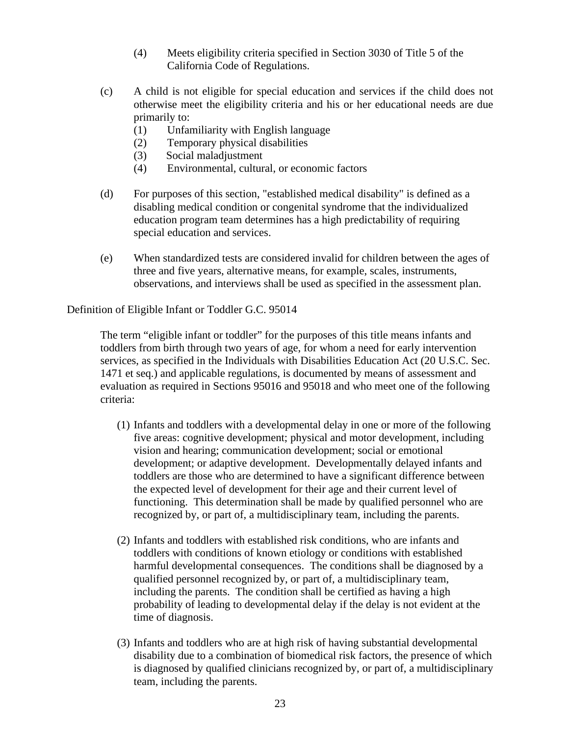- (4) Meets eligibility criteria specified in Section 3030 of Title 5 of the California Code of Regulations.
- (c) A child is not eligible for special education and services if the child does not otherwise meet the eligibility criteria and his or her educational needs are due primarily to:
	- (1) Unfamiliarity with English language
	- (2) Temporary physical disabilities
	- (3) Social maladjustment
	- (4) Environmental, cultural, or economic factors
- (d) For purposes of this section, "established medical disability" is defined as a disabling medical condition or congenital syndrome that the individualized education program team determines has a high predictability of requiring special education and services.
- (e) When standardized tests are considered invalid for children between the ages of three and five years, alternative means, for example, scales, instruments, observations, and interviews shall be used as specified in the assessment plan.

Definition of Eligible Infant or Toddler G.C. 95014

The term "eligible infant or toddler" for the purposes of this title means infants and toddlers from birth through two years of age, for whom a need for early intervention services, as specified in the Individuals with Disabilities Education Act (20 U.S.C. Sec. 1471 et seq.) and applicable regulations, is documented by means of assessment and evaluation as required in Sections 95016 and 95018 and who meet one of the following criteria:

- (1) Infants and toddlers with a developmental delay in one or more of the following five areas: cognitive development; physical and motor development, including vision and hearing; communication development; social or emotional development; or adaptive development. Developmentally delayed infants and toddlers are those who are determined to have a significant difference between the expected level of development for their age and their current level of functioning. This determination shall be made by qualified personnel who are recognized by, or part of, a multidisciplinary team, including the parents.
- (2) Infants and toddlers with established risk conditions, who are infants and toddlers with conditions of known etiology or conditions with established harmful developmental consequences. The conditions shall be diagnosed by a qualified personnel recognized by, or part of, a multidisciplinary team, including the parents. The condition shall be certified as having a high probability of leading to developmental delay if the delay is not evident at the time of diagnosis.
- (3) Infants and toddlers who are at high risk of having substantial developmental disability due to a combination of biomedical risk factors, the presence of which is diagnosed by qualified clinicians recognized by, or part of, a multidisciplinary team, including the parents.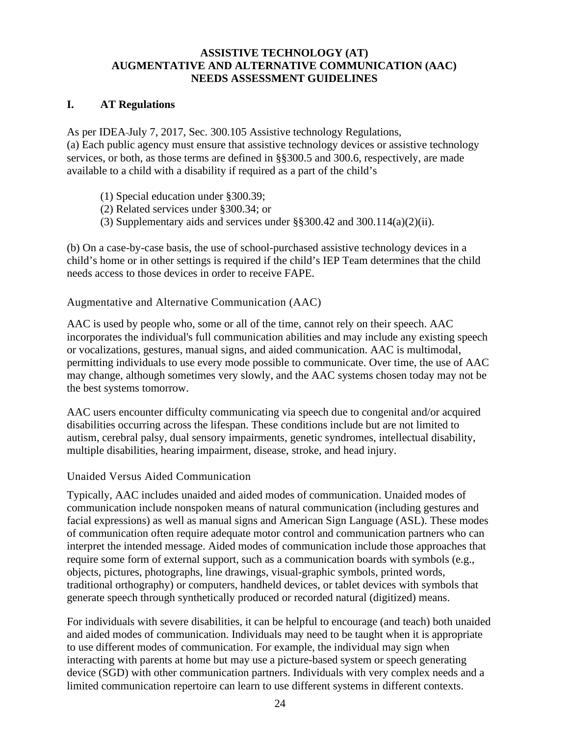#### **ASSISTIVE TECHNOLOGY (AT) AUGMENTATIVE AND ALTERNATIVE COMMUNICATION (AAC) NEEDS ASSESSMENT GUIDELINES**

### **I. AT Regulations**

As per IDEA July 7, 2017, Sec. 300.105 Assistive technology Regulations, [\(a\)](https://sites.ed.gov/idea/regs/b/b/300.105/a) Each public agency must ensure that assistive technology devices or assistive technology services, or both, as those terms are defined in §§300.5 and 300.6, respectively, are made available to a child with a disability if required as a part of the child's

- [\(1\)](https://sites.ed.gov/idea/regs/b/b/300.105/a/1) Special education under §300.39;
- [\(2\)](https://sites.ed.gov/idea/regs/b/b/300.105/a/2) Related services under §300.34; or
- [\(3\)](https://sites.ed.gov/idea/regs/b/b/300.105/a/3) Supplementary aids and services under §§300.42 and 300.114(a)(2)(ii).

[\(b\)](https://sites.ed.gov/idea/regs/b/b/300.105/b) On a case-by-case basis, the use of school-purchased assistive technology devices in a child's home or in other settings is required if the child's IEP Team determines that the child needs access to those devices in order to receive FAPE.

## Augmentative and Alternative Communication (AAC)

AAC is used by people who, some or all of the time, cannot rely on their speech. AAC incorporates the individual's full communication abilities and may include any existing speech or vocalizations, gestures, manual signs, and aided communication. AAC is multimodal, permitting individuals to use every mode possible to communicate. Over time, the use of AAC may change, although sometimes very slowly, and the AAC systems chosen today may not be the best systems tomorrow.

AAC users encounter difficulty communicating via speech due to congenital and/or acquired disabilities occurring across the lifespan. These conditions include but are not limited to autism, cerebral palsy, dual sensory impairments, genetic syndromes, intellectual disability, multiple disabilities, hearing impairment, disease, stroke, and head injury.

Unaided Versus Aided Communication

Typically, AAC includes unaided and aided modes of communication. Unaided modes of communication include nonspoken means of natural communication (including gestures and facial expressions) as well as manual signs and American Sign Language (ASL). These modes of communication often require adequate motor control and communication partners who can interpret the intended message. Aided modes of communication include those approaches that require some form of external support, such as a communication boards with symbols (e.g., objects, pictures, photographs, line drawings, visual-graphic symbols, printed words, traditional orthography) or computers, handheld devices, or tablet devices with symbols that generate speech through synthetically produced or recorded natural (digitized) means.

For individuals with severe disabilities, it can be helpful to encourage (and teach) both unaided and aided modes of communication. Individuals may need to be taught when it is appropriate to use different modes of communication. For example, the individual may sign when interacting with parents at home but may use a picture-based system or speech generating device (SGD) with other communication partners. Individuals with very complex needs and a limited communication repertoire can learn to use different systems in different contexts.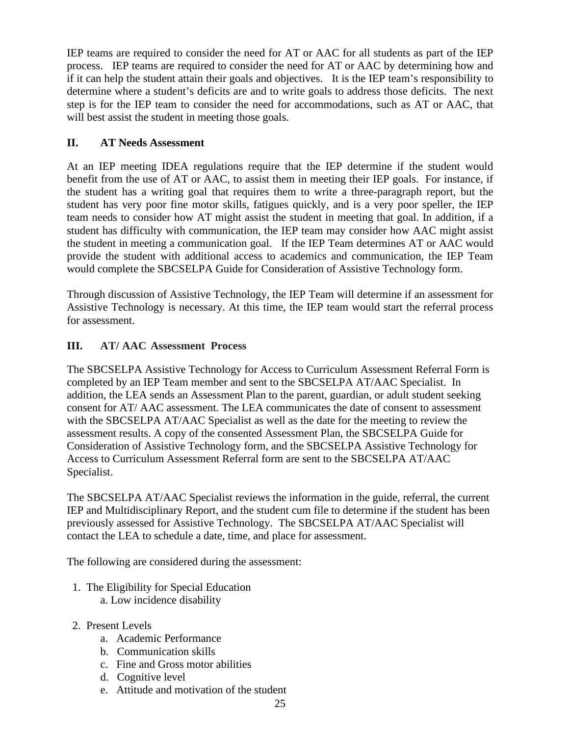IEP teams are required to consider the need for AT or AAC for all students as part of the IEP process. IEP teams are required to consider the need for AT or AAC by determining how and if it can help the student attain their goals and objectives. It is the IEP team's responsibility to determine where a student's deficits are and to write goals to address those deficits. The next step is for the IEP team to consider the need for accommodations, such as AT or AAC, that will best assist the student in meeting those goals.

## **II. AT Needs Assessment**

At an IEP meeting IDEA regulations require that the IEP determine if the student would benefit from the use of AT or AAC, to assist them in meeting their IEP goals. For instance, if the student has a writing goal that requires them to write a three-paragraph report, but the student has very poor fine motor skills, fatigues quickly, and is a very poor speller, the IEP team needs to consider how AT might assist the student in meeting that goal. In addition, if a student has difficulty with communication, the IEP team may consider how AAC might assist the student in meeting a communication goal. If the IEP Team determines AT or AAC would provide the student with additional access to academics and communication, the IEP Team would complete the SBCSELPA Guide for Consideration of Assistive Technology form.

Through discussion of Assistive Technology, the IEP Team will determine if an assessment for Assistive Technology is necessary. At this time, the IEP team would start the referral process for assessment.

## **III. AT/ AAC Assessment Process**

The SBCSELPA Assistive Technology for Access to Curriculum Assessment Referral Form is completed by an IEP Team member and sent to the SBCSELPA AT/AAC Specialist. In addition, the LEA sends an Assessment Plan to the parent, guardian, or adult student seeking consent for AT/ AAC assessment. The LEA communicates the date of consent to assessment with the SBCSELPA AT/AAC Specialist as well as the date for the meeting to review the assessment results. A copy of the consented Assessment Plan, the SBCSELPA Guide for Consideration of Assistive Technology form, and the SBCSELPA Assistive Technology for Access to Curriculum Assessment Referral form are sent to the SBCSELPA AT/AAC Specialist.

The SBCSELPA AT/AAC Specialist reviews the information in the guide, referral, the current IEP and Multidisciplinary Report, and the student cum file to determine if the student has been previously assessed for Assistive Technology. The SBCSELPA AT/AAC Specialist will contact the LEA to schedule a date, time, and place for assessment.

The following are considered during the assessment:

- 1. The Eligibility for Special Education a. Low incidence disability
- 2. Present Levels
	- a. Academic Performance
	- b. Communication skills
	- c. Fine and Gross motor abilities
	- d. Cognitive level
	- e. Attitude and motivation of the student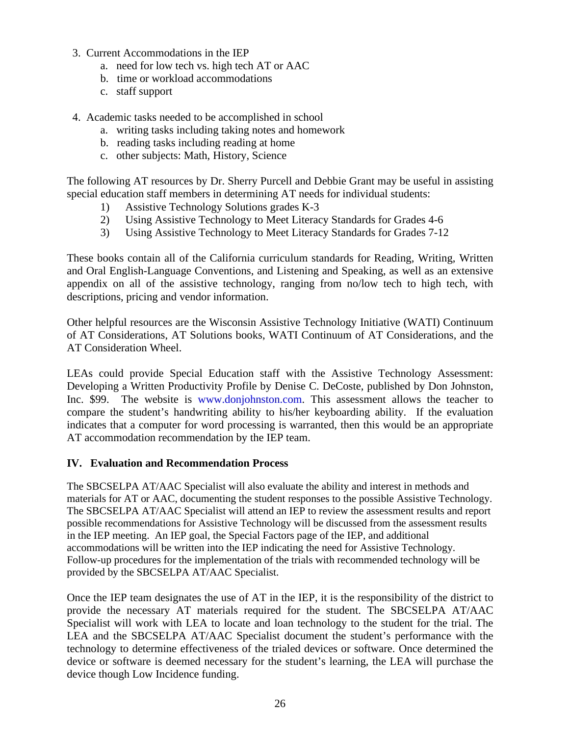- 3. Current Accommodations in the IEP
	- a. need for low tech vs. high tech AT or AAC
	- b. time or workload accommodations
	- c. staff support

4. Academic tasks needed to be accomplished in school

- a. writing tasks including taking notes and homework
- b. reading tasks including reading at home
- c. other subjects: Math, History, Science

The following AT resources by Dr. Sherry Purcell and Debbie Grant may be useful in assisting special education staff members in determining AT needs for individual students:

- 1) Assistive Technology Solutions grades K-3
- 2) Using Assistive Technology to Meet Literacy Standards for Grades 4-6
- 3) Using Assistive Technology to Meet Literacy Standards for Grades 7-12

These books contain all of the California curriculum standards for Reading, Writing, Written and Oral English-Language Conventions, and Listening and Speaking, as well as an extensive appendix on all of the assistive technology, ranging from no/low tech to high tech, with descriptions, pricing and vendor information.

Other helpful resources are the Wisconsin Assistive Technology Initiative (WATI) Continuum of AT Considerations, AT Solutions books, WATI Continuum of AT Considerations, and the AT Consideration Wheel.

LEAs could provide Special Education staff with the Assistive Technology Assessment: Developing a Written Productivity Profile by Denise C. DeCoste, published by Don Johnston, Inc. \$99. The website is [www.donjohnston.com.](http://www.donjohnston.com/) This assessment allows the teacher to compare the student's handwriting ability to his/her keyboarding ability. If the evaluation indicates that a computer for word processing is warranted, then this would be an appropriate AT accommodation recommendation by the IEP team.

#### **IV. Evaluation and Recommendation Process**

The SBCSELPA AT/AAC Specialist will also evaluate the ability and interest in methods and materials for AT or AAC, documenting the student responses to the possible Assistive Technology. The SBCSELPA AT/AAC Specialist will attend an IEP to review the assessment results and report possible recommendations for Assistive Technology will be discussed from the assessment results in the IEP meeting. An IEP goal, the Special Factors page of the IEP, and additional accommodations will be written into the IEP indicating the need for Assistive Technology. Follow-up procedures for the implementation of the trials with recommended technology will be provided by the SBCSELPA AT/AAC Specialist.

Once the IEP team designates the use of AT in the IEP, it is the responsibility of the district to provide the necessary AT materials required for the student. The SBCSELPA AT/AAC Specialist will work with LEA to locate and loan technology to the student for the trial. The LEA and the SBCSELPA AT/AAC Specialist document the student's performance with the technology to determine effectiveness of the trialed devices or software. Once determined the device or software is deemed necessary for the student's learning, the LEA will purchase the device though Low Incidence funding.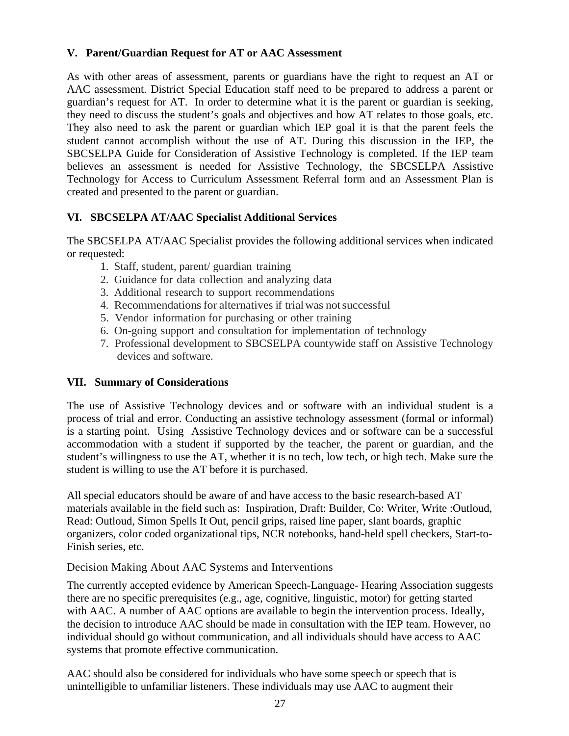### **V. Parent/Guardian Request for AT or AAC Assessment**

As with other areas of assessment, parents or guardians have the right to request an AT or AAC assessment. District Special Education staff need to be prepared to address a parent or guardian's request for AT. In order to determine what it is the parent or guardian is seeking, they need to discuss the student's goals and objectives and how AT relates to those goals, etc. They also need to ask the parent or guardian which IEP goal it is that the parent feels the student cannot accomplish without the use of AT. During this discussion in the IEP, the SBCSELPA Guide for Consideration of Assistive Technology is completed. If the IEP team believes an assessment is needed for Assistive Technology, the SBCSELPA Assistive Technology for Access to Curriculum Assessment Referral form and an Assessment Plan is created and presented to the parent or guardian.

# **VI. SBCSELPA AT/AAC Specialist Additional Services**

The SBCSELPA AT/AAC Specialist provides the following additional services when indicated or requested:

- 1. Staff, student, parent/ guardian training
- 2. Guidance for data collection and analyzing data
- 3. Additional research to support recommendations
- 4. Recommendations for alternatives if trial was not successful
- 5. Vendor information for purchasing or other training
- 6. On-going support and consultation for implementation of technology
- 7. Professional development to SBCSELPA countywide staff on Assistive Technology devices and software.

# **VII. Summary of Considerations**

The use of Assistive Technology devices and or software with an individual student is a process of trial and error. Conducting an assistive technology assessment (formal or informal) is a starting point. Using Assistive Technology devices and or software can be a successful accommodation with a student if supported by the teacher, the parent or guardian, and the student's willingness to use the AT, whether it is no tech, low tech, or high tech. Make sure the student is willing to use the AT before it is purchased.

All special educators should be aware of and have access to the basic research-based AT materials available in the field such as: Inspiration, Draft: Builder, Co: Writer, Write :Outloud, Read: Outloud, Simon Spells It Out, pencil grips, raised line paper, slant boards, graphic organizers, color coded organizational tips, NCR notebooks, hand-held spell checkers, Start-to-Finish series, etc.

Decision Making About AAC Systems and Interventions

The currently accepted evidence by American Speech-Language- Hearing Association suggests there are no specific prerequisites (e.g., age, cognitive, linguistic, motor) for getting started with AAC. A number of AAC options are available to begin the intervention process. Ideally, the decision to introduce AAC should be made in consultation with the IEP team. However, no individual should go without communication, and all individuals should have access to AAC systems that promote effective communication.

AAC should also be considered for individuals who have some speech or speech that is unintelligible to unfamiliar listeners. These individuals may use AAC to augment their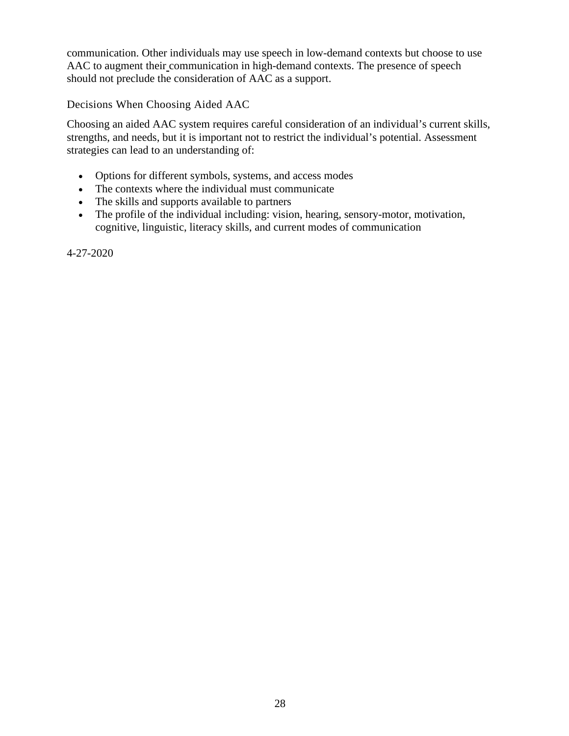communication. Other individuals may use speech in low-demand contexts but choose to use AAC to augment their communication in high-demand contexts. The presence of speech should not preclude the consideration of AAC as a support.

Decisions When Choosing Aided AAC

Choosing an aided AAC system requires careful consideration of an individual's current skills, strengths, and needs, but it is important not to restrict the individual's potential. Assessment strategies can lead to an understanding of:

- Options for different symbols, systems, and access modes
- The contexts where the individual must communicate
- The skills and supports available to partners
- The profile of the individual including: vision, hearing, sensory-motor, motivation, cognitive, linguistic, literacy skills, and current modes of communication

4-27-2020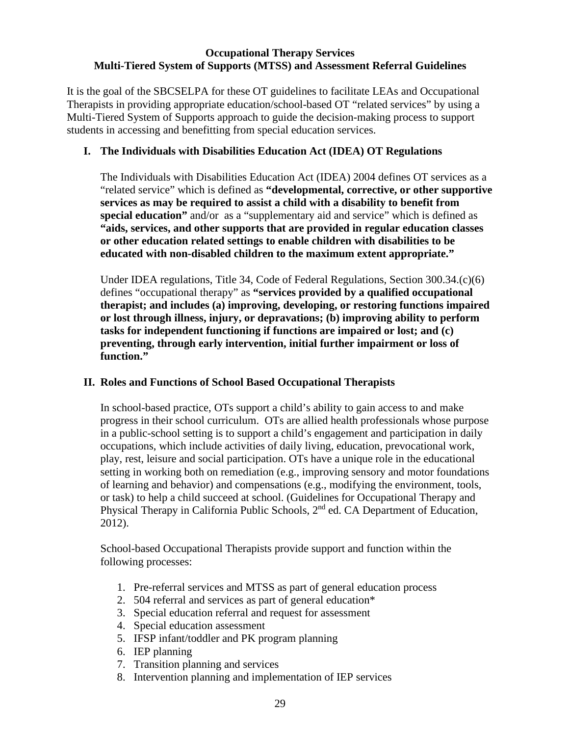#### **Occupational Therapy Services Multi-Tiered System of Supports (MTSS) and Assessment Referral Guidelines**

It is the goal of the SBCSELPA for these OT guidelines to facilitate LEAs and Occupational Therapists in providing appropriate education/school-based OT "related services" by using a Multi-Tiered System of Supports approach to guide the decision-making process to support students in accessing and benefitting from special education services.

### **I. The Individuals with Disabilities Education Act (IDEA) OT Regulations**

The Individuals with Disabilities Education Act (IDEA) 2004 defines OT services as a "related service" which is defined as **"developmental, corrective, or other supportive services as may be required to assist a child with a disability to benefit from special education"** and/or as a "supplementary aid and service" which is defined as **"aids, services, and other supports that are provided in regular education classes or other education related settings to enable children with disabilities to be educated with non-disabled children to the maximum extent appropriate."**

Under IDEA regulations, Title 34, Code of Federal Regulations, Section 300.34.(c)(6) defines "occupational therapy" as **"services provided by a qualified occupational therapist; and includes (a) improving, developing, or restoring functions impaired or lost through illness, injury, or depravations; (b) improving ability to perform tasks for independent functioning if functions are impaired or lost; and (c) preventing, through early intervention, initial further impairment or loss of function."**

### **II. Roles and Functions of School Based Occupational Therapists**

In school-based practice, OTs support a child's ability to gain access to and make progress in their school curriculum. OTs are allied health professionals whose purpose in a public-school setting is to support a child's engagement and participation in daily occupations, which include activities of daily living, education, prevocational work, play, rest, leisure and social participation. OTs have a unique role in the educational setting in working both on remediation (e.g., improving sensory and motor foundations of learning and behavior) and compensations (e.g., modifying the environment, tools, or task) to help a child succeed at school. (Guidelines for Occupational Therapy and Physical Therapy in California Public Schools, 2<sup>nd</sup> ed. CA Department of Education, 2012).

School-based Occupational Therapists provide support and function within the following processes:

- 1. Pre-referral services and MTSS as part of general education process
- 2. 504 referral and services as part of general education\*
- 3. Special education referral and request for assessment
- 4. Special education assessment
- 5. IFSP infant/toddler and PK program planning
- 6. IEP planning
- 7. Transition planning and services
- 8. Intervention planning and implementation of IEP services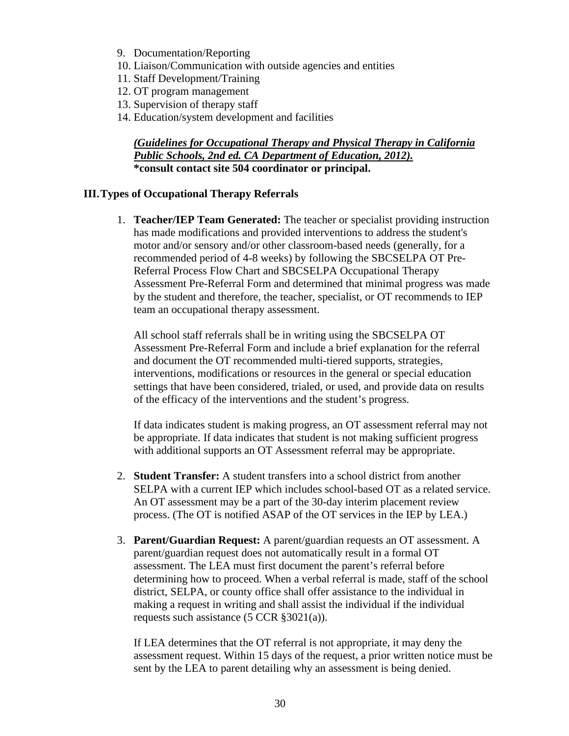- 9. Documentation/Reporting
- 10. Liaison/Communication with outside agencies and entities
- 11. Staff Development/Training
- 12. OT program management
- 13. Supervision of therapy staff
- 14. Education/system development and facilities

#### *(Guidelines for Occupational Therapy and Physical Therapy in California Public Schools, 2nd ed. CA Department of Education, 2012).* **\*consult contact site 504 coordinator or principal.**

#### **III.Types of Occupational Therapy Referrals**

1. **Teacher/IEP Team Generated:** The teacher or specialist providing instruction has made modifications and provided interventions to address the student's motor and/or sensory and/or other classroom-based needs (generally, for a recommended period of 4-8 weeks) by following the SBCSELPA OT Pre-Referral Process Flow Chart and SBCSELPA Occupational Therapy Assessment Pre-Referral Form and determined that minimal progress was made by the student and therefore, the teacher, specialist, or OT recommends to IEP team an occupational therapy assessment.

All school staff referrals shall be in writing using the SBCSELPA OT Assessment Pre-Referral Form and include a brief explanation for the referral and document the OT recommended multi-tiered supports, strategies, interventions, modifications or resources in the general or special education settings that have been considered, trialed, or used, and provide data on results of the efficacy of the interventions and the student's progress.

If data indicates student is making progress, an OT assessment referral may not be appropriate. If data indicates that student is not making sufficient progress with additional supports an OT Assessment referral may be appropriate.

- 2. **Student Transfer:** A student transfers into a school district from another SELPA with a current IEP which includes school-based OT as a related service. An OT assessment may be a part of the 30-day interim placement review process. (The OT is notified ASAP of the OT services in the IEP by LEA.)
- 3. **Parent/Guardian Request:** A parent/guardian requests an OT assessment. A parent/guardian request does not automatically result in a formal OT assessment. The LEA must first document the parent's referral before determining how to proceed. When a verbal referral is made, staff of the school district, SELPA, or county office shall offer assistance to the individual in making a request in writing and shall assist the individual if the individual requests such assistance (5 CCR §3021(a)).

If LEA determines that the OT referral is not appropriate, it may deny the assessment request. Within 15 days of the request, a prior written notice must be sent by the LEA to parent detailing why an assessment is being denied.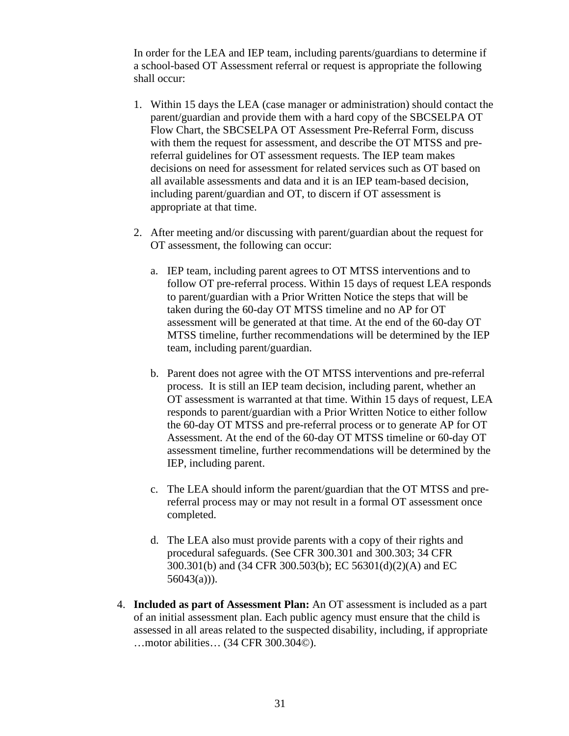In order for the LEA and IEP team, including parents/guardians to determine if a school-based OT Assessment referral or request is appropriate the following shall occur:

- 1. Within 15 days the LEA (case manager or administration) should contact the parent/guardian and provide them with a hard copy of the SBCSELPA OT Flow Chart, the SBCSELPA OT Assessment Pre-Referral Form, discuss with them the request for assessment, and describe the OT MTSS and prereferral guidelines for OT assessment requests. The IEP team makes decisions on need for assessment for related services such as OT based on all available assessments and data and it is an IEP team-based decision, including parent/guardian and OT, to discern if OT assessment is appropriate at that time.
- 2. After meeting and/or discussing with parent/guardian about the request for OT assessment, the following can occur:
	- a. IEP team, including parent agrees to OT MTSS interventions and to follow OT pre-referral process. Within 15 days of request LEA responds to parent/guardian with a Prior Written Notice the steps that will be taken during the 60-day OT MTSS timeline and no AP for OT assessment will be generated at that time. At the end of the 60-day OT MTSS timeline, further recommendations will be determined by the IEP team, including parent/guardian.
	- b. Parent does not agree with the OT MTSS interventions and pre-referral process. It is still an IEP team decision, including parent, whether an OT assessment is warranted at that time. Within 15 days of request, LEA responds to parent/guardian with a Prior Written Notice to either follow the 60-day OT MTSS and pre-referral process or to generate AP for OT Assessment. At the end of the 60-day OT MTSS timeline or 60-day OT assessment timeline, further recommendations will be determined by the IEP, including parent.
	- c. The LEA should inform the parent/guardian that the OT MTSS and prereferral process may or may not result in a formal OT assessment once completed.
	- d. The LEA also must provide parents with a copy of their rights and procedural safeguards. (See CFR 300.301 and 300.303; 34 CFR 300.301(b) and (34 CFR 300.503(b); EC 56301(d)(2)(A) and EC  $56043(a))$ .
- 4. **Included as part of Assessment Plan:** An OT assessment is included as a part of an initial assessment plan. Each public agency must ensure that the child is assessed in all areas related to the suspected disability, including, if appropriate …motor abilities… (34 CFR 300.304©).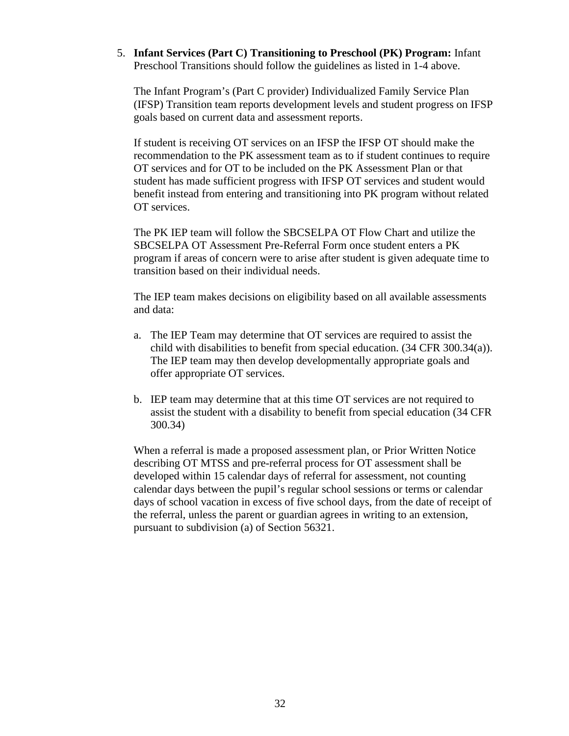#### 5. **Infant Services (Part C) Transitioning to Preschool (PK) Program:** Infant Preschool Transitions should follow the guidelines as listed in 1-4 above.

The Infant Program's (Part C provider) Individualized Family Service Plan (IFSP) Transition team reports development levels and student progress on IFSP goals based on current data and assessment reports.

If student is receiving OT services on an IFSP the IFSP OT should make the recommendation to the PK assessment team as to if student continues to require OT services and for OT to be included on the PK Assessment Plan or that student has made sufficient progress with IFSP OT services and student would benefit instead from entering and transitioning into PK program without related OT services.

The PK IEP team will follow the SBCSELPA OT Flow Chart and utilize the SBCSELPA OT Assessment Pre-Referral Form once student enters a PK program if areas of concern were to arise after student is given adequate time to transition based on their individual needs.

The IEP team makes decisions on eligibility based on all available assessments and data:

- a. The IEP Team may determine that OT services are required to assist the child with disabilities to benefit from special education. (34 CFR 300.34(a)). The IEP team may then develop developmentally appropriate goals and offer appropriate OT services.
- b. IEP team may determine that at this time OT services are not required to assist the student with a disability to benefit from special education (34 CFR 300.34)

When a referral is made a proposed assessment plan, or Prior Written Notice describing OT MTSS and pre-referral process for OT assessment shall be developed within 15 calendar days of referral for assessment, not counting calendar days between the pupil's regular school sessions or terms or calendar days of school vacation in excess of five school days, from the date of receipt of the referral, unless the parent or guardian agrees in writing to an extension, pursuant to subdivision (a) of Section 56321.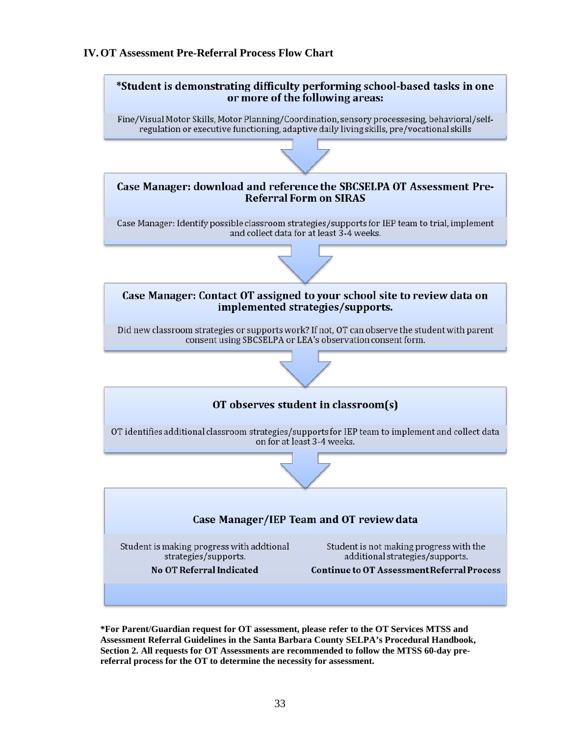#### **IV.OT Assessment Pre-Referral Process Flow Chart**



**\*For Parent/Guardian request for OT assessment, please refer to the OT Services MTSS and Assessment Referral Guidelines in the Santa Barbara County SELPA's Procedural Handbook, Section 2. All requests for OT Assessments are recommended to follow the MTSS 60-day prereferral process for the OT to determine the necessity for assessment.**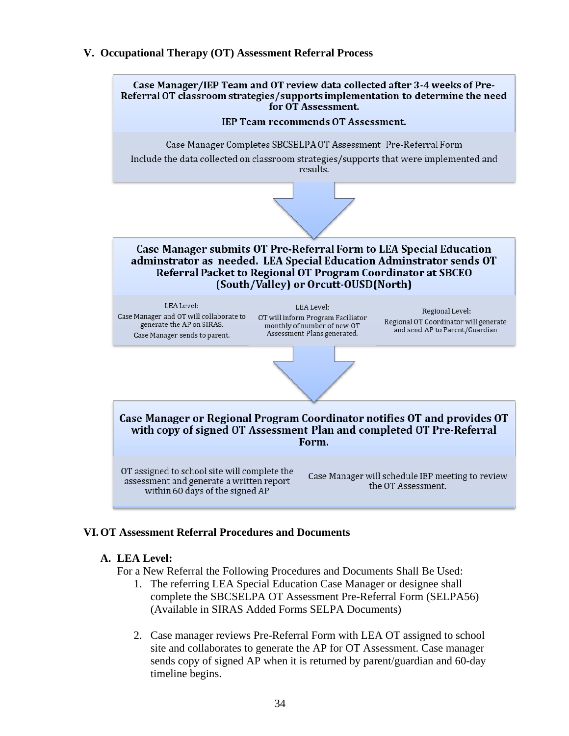#### **V. Occupational Therapy (OT) Assessment Referral Process**



#### **VI.OT Assessment Referral Procedures and Documents**

#### **A. LEA Level:**

For a New Referral the Following Procedures and Documents Shall Be Used:

- 1. The referring LEA Special Education Case Manager or designee shall complete the SBCSELPA OT Assessment Pre-Referral Form (SELPA56) (Available in SIRAS Added Forms SELPA Documents)
- 2. Case manager reviews Pre-Referral Form with LEA OT assigned to school site and collaborates to generate the AP for OT Assessment. Case manager sends copy of signed AP when it is returned by parent/guardian and 60-day timeline begins.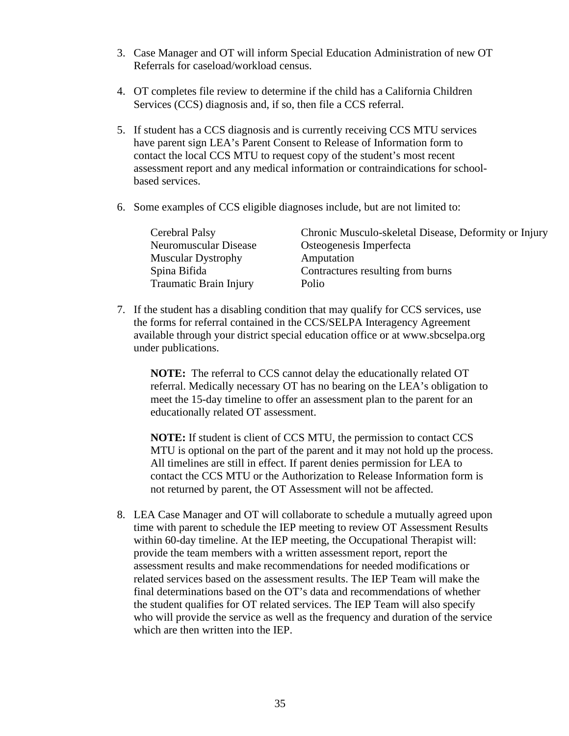- 3. Case Manager and OT will inform Special Education Administration of new OT Referrals for caseload/workload census.
- 4. OT completes file review to determine if the child has a California Children Services (CCS) diagnosis and, if so, then file a CCS referral.
- 5. If student has a CCS diagnosis and is currently receiving CCS MTU services have parent sign LEA's Parent Consent to Release of Information form to contact the local CCS MTU to request copy of the student's most recent assessment report and any medical information or contraindications for schoolbased services.
- 6. Some examples of CCS eligible diagnoses include, but are not limited to:

| Cerebral Palsy            | Chronic Musculo-skeletal Disease, Deformity or Injury |
|---------------------------|-------------------------------------------------------|
| Neuromuscular Disease     | Osteogenesis Imperfecta                               |
| <b>Muscular Dystrophy</b> | Amputation                                            |
| Spina Bifida              | Contractures resulting from burns                     |
| Traumatic Brain Injury    | Polio                                                 |

7. If the student has a disabling condition that may qualify for CCS services, use the forms for referral contained in the CCS/SELPA Interagency Agreement available through your district special education office or at www.sbcselpa.org under publications.

**NOTE:** The referral to CCS cannot delay the educationally related OT referral. Medically necessary OT has no bearing on the LEA's obligation to meet the 15-day timeline to offer an assessment plan to the parent for an educationally related OT assessment.

**NOTE:** If student is client of CCS MTU, the permission to contact CCS MTU is optional on the part of the parent and it may not hold up the process. All timelines are still in effect. If parent denies permission for LEA to contact the CCS MTU or the Authorization to Release Information form is not returned by parent, the OT Assessment will not be affected.

8. LEA Case Manager and OT will collaborate to schedule a mutually agreed upon time with parent to schedule the IEP meeting to review OT Assessment Results within 60-day timeline. At the IEP meeting, the Occupational Therapist will: provide the team members with a written assessment report, report the assessment results and make recommendations for needed modifications or related services based on the assessment results. The IEP Team will make the final determinations based on the OT's data and recommendations of whether the student qualifies for OT related services. The IEP Team will also specify who will provide the service as well as the frequency and duration of the service which are then written into the IEP.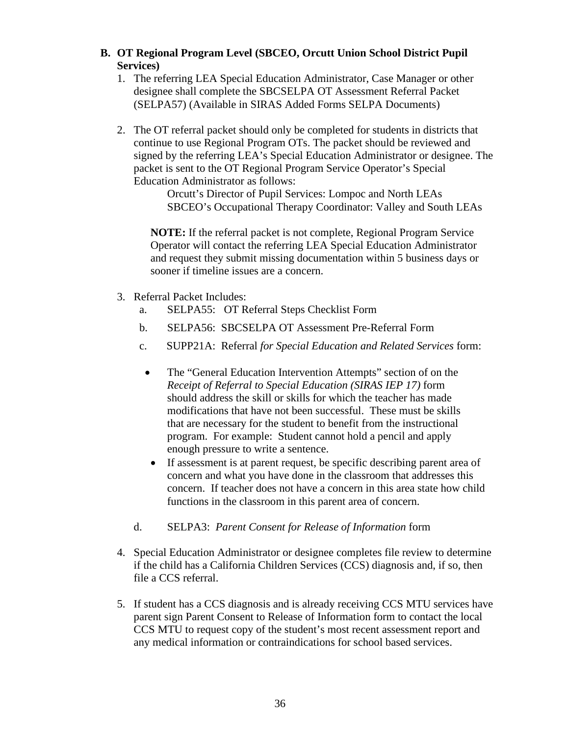#### **B. OT Regional Program Level (SBCEO, Orcutt Union School District Pupil Services)**

- 1. The referring LEA Special Education Administrator, Case Manager or other designee shall complete the SBCSELPA OT Assessment Referral Packet (SELPA57) (Available in SIRAS Added Forms SELPA Documents)
- 2. The OT referral packet should only be completed for students in districts that continue to use Regional Program OTs. The packet should be reviewed and signed by the referring LEA's Special Education Administrator or designee. The packet is sent to the OT Regional Program Service Operator's Special Education Administrator as follows:

Orcutt's Director of Pupil Services: Lompoc and North LEAs SBCEO's Occupational Therapy Coordinator: Valley and South LEAs

**NOTE:** If the referral packet is not complete, Regional Program Service Operator will contact the referring LEA Special Education Administrator and request they submit missing documentation within 5 business days or sooner if timeline issues are a concern.

- 3. Referral Packet Includes:
	- a. SELPA55: OT Referral Steps Checklist Form
	- b. SELPA56: SBCSELPA OT Assessment Pre-Referral Form
	- c. SUPP21A: Referral *for Special Education and Related Services* form:
		- The "General Education Intervention Attempts" section of on the *Receipt of Referral to Special Education (SIRAS IEP 17)* form should address the skill or skills for which the teacher has made modifications that have not been successful. These must be skills that are necessary for the student to benefit from the instructional program. For example: Student cannot hold a pencil and apply enough pressure to write a sentence.
		- If assessment is at parent request, be specific describing parent area of concern and what you have done in the classroom that addresses this concern. If teacher does not have a concern in this area state how child functions in the classroom in this parent area of concern.
	- d. SELPA3: *Parent Consent for Release of Information* form
- 4. Special Education Administrator or designee completes file review to determine if the child has a California Children Services (CCS) diagnosis and, if so, then file a CCS referral.
- 5. If student has a CCS diagnosis and is already receiving CCS MTU services have parent sign Parent Consent to Release of Information form to contact the local CCS MTU to request copy of the student's most recent assessment report and any medical information or contraindications for school based services.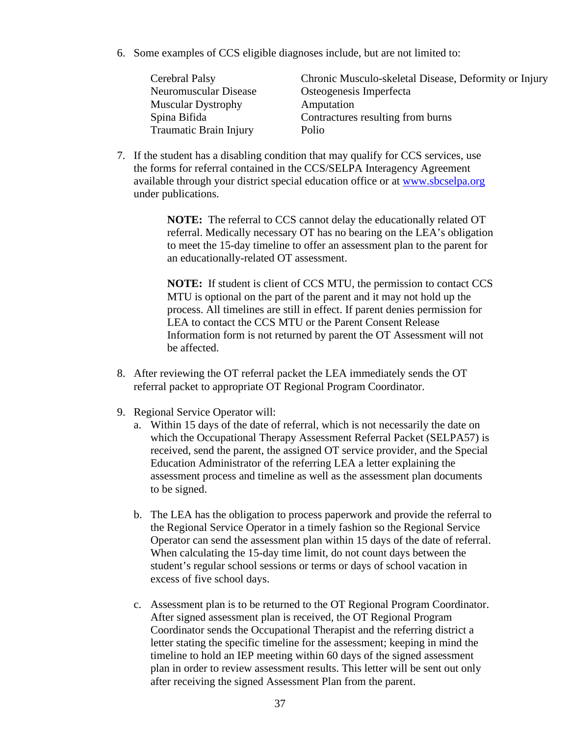6. Some examples of CCS eligible diagnoses include, but are not limited to:

| Cerebral Palsy            | Chronic Musculo-skeletal Disease, Deformity or Injury |
|---------------------------|-------------------------------------------------------|
| Neuromuscular Disease     | Osteogenesis Imperfecta                               |
| <b>Muscular Dystrophy</b> | Amputation                                            |
| Spina Bifida              | Contractures resulting from burns                     |
| Traumatic Brain Injury    | Polio                                                 |
|                           |                                                       |

7. If the student has a disabling condition that may qualify for CCS services, use the forms for referral contained in the CCS/SELPA Interagency Agreement available through your district special education office or at [www.sbcselpa.org](http://www.sbcselpa.org/) under publications.

> **NOTE:** The referral to CCS cannot delay the educationally related OT referral. Medically necessary OT has no bearing on the LEA's obligation to meet the 15-day timeline to offer an assessment plan to the parent for an educationally-related OT assessment.

> **NOTE:** If student is client of CCS MTU, the permission to contact CCS MTU is optional on the part of the parent and it may not hold up the process. All timelines are still in effect. If parent denies permission for LEA to contact the CCS MTU or the Parent Consent Release Information form is not returned by parent the OT Assessment will not be affected.

- 8. After reviewing the OT referral packet the LEA immediately sends the OT referral packet to appropriate OT Regional Program Coordinator.
- 9. Regional Service Operator will:
	- a. Within 15 days of the date of referral, which is not necessarily the date on which the Occupational Therapy Assessment Referral Packet (SELPA57) is received, send the parent, the assigned OT service provider, and the Special Education Administrator of the referring LEA a letter explaining the assessment process and timeline as well as the assessment plan documents to be signed.
	- b. The LEA has the obligation to process paperwork and provide the referral to the Regional Service Operator in a timely fashion so the Regional Service Operator can send the assessment plan within 15 days of the date of referral. When calculating the 15-day time limit, do not count days between the student's regular school sessions or terms or days of school vacation in excess of five school days.
	- c. Assessment plan is to be returned to the OT Regional Program Coordinator. After signed assessment plan is received, the OT Regional Program Coordinator sends the Occupational Therapist and the referring district a letter stating the specific timeline for the assessment; keeping in mind the timeline to hold an IEP meeting within 60 days of the signed assessment plan in order to review assessment results. This letter will be sent out only after receiving the signed Assessment Plan from the parent.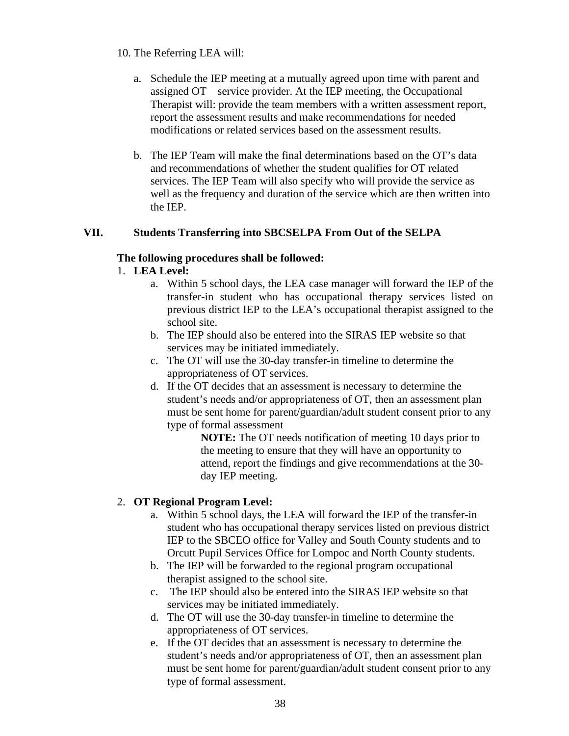#### 10. The Referring LEA will:

- a. Schedule the IEP meeting at a mutually agreed upon time with parent and assigned OT service provider. At the IEP meeting, the Occupational Therapist will: provide the team members with a written assessment report, report the assessment results and make recommendations for needed modifications or related services based on the assessment results.
- b. The IEP Team will make the final determinations based on the OT's data and recommendations of whether the student qualifies for OT related services. The IEP Team will also specify who will provide the service as well as the frequency and duration of the service which are then written into the IEP.

### **VII. Students Transferring into SBCSELPA From Out of the SELPA**

#### **The following procedures shall be followed:**

- 1. **LEA Level:**
	- a. Within 5 school days, the LEA case manager will forward the IEP of the transfer-in student who has occupational therapy services listed on previous district IEP to the LEA's occupational therapist assigned to the school site.
	- b. The IEP should also be entered into the SIRAS IEP website so that services may be initiated immediately.
	- c. The OT will use the 30-day transfer-in timeline to determine the appropriateness of OT services.
	- d. If the OT decides that an assessment is necessary to determine the student's needs and/or appropriateness of OT, then an assessment plan must be sent home for parent/guardian/adult student consent prior to any type of formal assessment

**NOTE:** The OT needs notification of meeting 10 days prior to the meeting to ensure that they will have an opportunity to attend, report the findings and give recommendations at the 30 day IEP meeting.

### 2. **OT Regional Program Level:**

- a. Within 5 school days, the LEA will forward the IEP of the transfer-in student who has occupational therapy services listed on previous district IEP to the SBCEO office for Valley and South County students and to Orcutt Pupil Services Office for Lompoc and North County students.
- b. The IEP will be forwarded to the regional program occupational therapist assigned to the school site.
- c. The IEP should also be entered into the SIRAS IEP website so that services may be initiated immediately.
- d. The OT will use the 30-day transfer-in timeline to determine the appropriateness of OT services.
- e. If the OT decides that an assessment is necessary to determine the student's needs and/or appropriateness of OT, then an assessment plan must be sent home for parent/guardian/adult student consent prior to any type of formal assessment.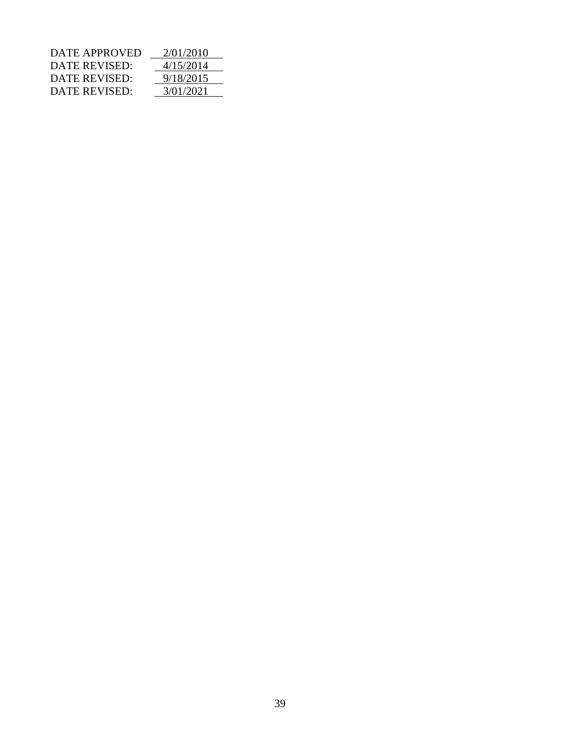| DATE APPROVED        | 2/01/2010 |
|----------------------|-----------|
| <b>DATE REVISED:</b> | 4/15/2014 |
| DATE REVISED:        | 9/18/2015 |
| DATE REVISED:        | 3/01/2021 |